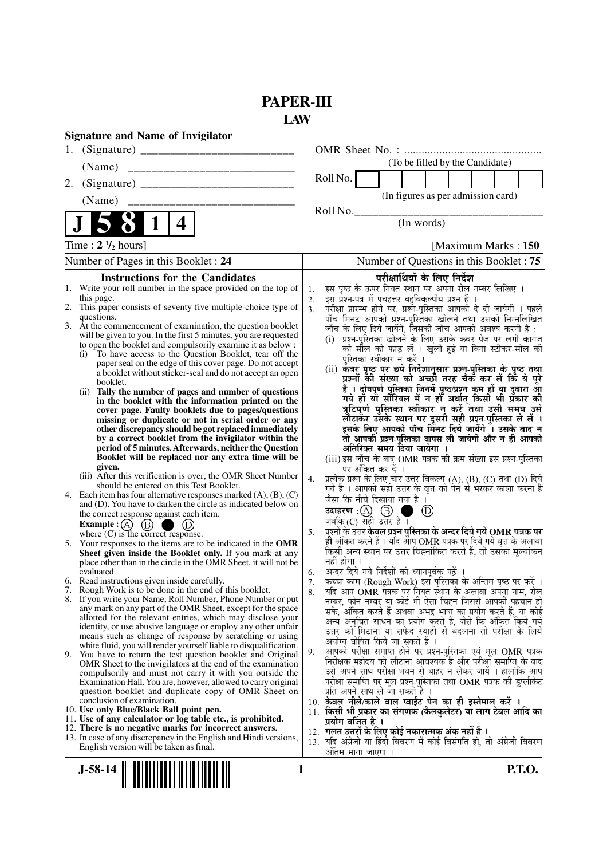# **PAPER-III**

**LAW**

|    | <b>Signature and Name of Invigilator</b>                                                                                                   |                      |                                                                                                                                   |
|----|--------------------------------------------------------------------------------------------------------------------------------------------|----------------------|-----------------------------------------------------------------------------------------------------------------------------------|
| 1. |                                                                                                                                            |                      |                                                                                                                                   |
|    | (Name)                                                                                                                                     |                      | (To be filled by the Candidate)                                                                                                   |
| 2. |                                                                                                                                            |                      | Roll No.                                                                                                                          |
|    | (Name)                                                                                                                                     |                      | (In figures as per admission card)                                                                                                |
|    |                                                                                                                                            |                      | Roll No.                                                                                                                          |
|    | 4                                                                                                                                          |                      | (In words)                                                                                                                        |
|    | Time: $2 \frac{1}{2}$ hours]                                                                                                               |                      | [Maximum Marks: 150]                                                                                                              |
|    | Number of Pages in this Booklet: 24                                                                                                        |                      | Number of Questions in this Booklet: 75                                                                                           |
|    | <b>Instructions for the Candidates</b>                                                                                                     |                      | परीक्षार्थियों के लिए निर्देश                                                                                                     |
|    | 1. Write your roll number in the space provided on the top of                                                                              | 1.                   | इस पृष्ठ के ऊपर नियत स्थान पर अपना रोल नम्बर लिखिए ।                                                                              |
|    | this page.<br>2. This paper consists of seventy five multiple-choice type of                                                               | 2.<br>3 <sub>1</sub> | इस प्रश्न-पत्र में पचहत्तर बहुविकल्पीय प्रश्न हैं ।                                                                               |
|    | questions.                                                                                                                                 |                      | परीक्षा प्रारम्भ होने पर, प्रश्नॅं-पुस्तिका आपको दे दी जायेगी । पहले<br>पाँच मिनट आपको प्रश्नं-पुस्तिका खोलने तथा उसकी निम्नलिखित |
|    | 3. At the commencement of examination, the question booklet                                                                                |                      | जाँच के लिए दिये जायेंगे, जिसकी जाँच आपको अवश्य करनी है :                                                                         |
|    | will be given to you. In the first 5 minutes, you are requested<br>to open the booklet and compulsorily examine it as below :              |                      | (i) प्रश्न-पुस्तिका खोलने के लिए उसके कवर पेज पर लगी कागज                                                                         |
|    | To have access to the Question Booklet, tear off the<br>(i)                                                                                |                      | को सील को फाड़ लें । खुली हुई या बिना स्टीकर-सील की                                                                               |
|    | paper seal on the edge of this cover page. Do not accept                                                                                   |                      | पुस्तिका स्वीकार न करें ।<br>(ii) कवर पृष्ठ पर छपे निर्देशानुसार प्रश्न-पुस्तिका के पृष्ठ तथा                                     |
|    | a booklet without sticker-seal and do not accept an open<br>booklet.                                                                       |                      | प्रश्नों की संख्या को अच्छी तरह चैक कर लें कि ये पूरे                                                                             |
|    | Tally the number of pages and number of questions<br>(ii)                                                                                  |                      | हैं । दोषपूर्ण पुस्तिका जिनमें पृष्ठ/प्रश्न कम हों या दुबारा आ                                                                    |
|    | in the booklet with the information printed on the                                                                                         |                      | गये हों यो सीरियल में न हों अर्थात् किसी भी प्रँकार की                                                                            |
|    | cover page. Faulty booklets due to pages/questions                                                                                         |                      | त्रुटिपूर्ण पुस्तिका स्वीकार न करें तथा उसी समय उसे                                                                               |
|    | missing or duplicate or not in serial order or any<br>other discrepancy should be got replaced immediately                                 |                      | लौटाकर उसके स्थान पर दूसरी सही प्रश्न-पुस्तिका ले लें ।<br>इसके लिए आपको पाँच मिनट दिये जायेंगे । उसके बाद न                      |
|    | by a correct booklet from the invigilator within the                                                                                       |                      | तो आपकी प्रश्न-पुस्तिका वापस ली जायेगी और न ही आपको                                                                               |
|    | period of 5 minutes. Afterwards, neither the Question                                                                                      |                      | अतिरिक्त समय दिया जायेगा ।                                                                                                        |
|    | Booklet will be replaced nor any extra time will be<br>given.                                                                              |                      | (iii) इस जाँच के बाद OMR पत्रक की क्रम संख्या इस प्रश्न-पुस्तिका                                                                  |
|    | (iii) After this verification is over, the OMR Sheet Number<br>should be entered on this Test Booklet.                                     | 4.                   | पर अंकित कर दें ।<br>प्रत्येक प्रश्न के लिए चार उत्तर विकल्प (A), (B), (C) तथा (D) दिये                                           |
|    | 4. Each item has four alternative responses marked $(A)$ , $(B)$ , $(C)$                                                                   |                      | गये हैं । आपको सही उत्तर के वृत्त को पेन से भरकर काला करना है<br>जैसा कि नीचे दिखाया गया है ।                                     |
|    | and (D). You have to darken the circle as indicated below on                                                                               |                      | उदाहरण $\,$ :(A) $\,$ (B) $\,$<br>$\circledcirc$                                                                                  |
|    | the correct response against each item.                                                                                                    |                      | जबकि $(C)$ सही उत्तर है ।                                                                                                         |
|    | <b>Example :</b> $\overrightarrow{A}$ $\overrightarrow{B}$ $\overrightarrow{D}$ $\overrightarrow{D}$<br>where (C) is the correct response. | 5.                   | प्रश्नों के उत्तर <b>केवल प्रश्न पुस्तिका के अन्दर दिये गये OMR पत्रक पर</b>                                                      |
|    | 5. Your responses to the items are to be indicated in the OMR                                                                              |                      | ही अंकित करने हैं । यदि आप OMR पत्रक पर दिये गये वृत्त के अलावा                                                                   |
|    | Sheet given inside the Booklet only. If you mark at any<br>place other than in the circle in the OMR Sheet, it will not be                 |                      | किसी अन्य स्थान पर उत्तर चिह्नांकित करते हैं, तो उसका मृत्यांकन<br>नहीं होगा ।                                                    |
|    | evaluated.                                                                                                                                 | 6.                   | अन्दर दिये गये निर्देशों को ध्यानपूर्वक पढ़ें ।                                                                                   |
|    | 6. Read instructions given inside carefully.                                                                                               | 7.                   | कच्चा काम (Rough Work) इस पुस्तिका के अन्तिम पृष्ठ पर करें ।                                                                      |
|    | 7. Rough Work is to be done in the end of this booklet.                                                                                    | 8.                   | र्याद आप OMR पत्रक पर नियत स्थान के अलावा अपना नाम, रोल                                                                           |
|    | 8. If you write your Name, Roll Number, Phone Number or put<br>any mark on any part of the OMR Sheet, except for the space                 |                      | नम्बर, फोन नम्बर या कोई भी ऐसा चिह्न जिससे आपकी पहचान हो                                                                          |
|    | allotted for the relevant entries, which may disclose your                                                                                 |                      | सके, अंकित करते हैं अथवा अभद्र भाषा का प्रयोग करते हैं, या कोई<br>अन्य अनुचित साधन का प्रयोग करते हैं, जैसे कि अंकित किये गये     |
|    | identity, or use abusive language or employ any other unfair                                                                               |                      | उत्तर को मिटाना या सफेद स्याही से बदलना तो परीक्षा के लिये                                                                        |
|    | means such as change of response by scratching or using<br>white fluid, you will render yourself liable to disqualification.               |                      | अयोग्य घोषित किये जा सकते हैं ।                                                                                                   |
|    | 9. You have to return the test question booklet and Original                                                                               | 9.                   | आपको परीक्षा समाप्त होने पर प्रश्न-पुस्तिका एवं मूल OMR पत्रक                                                                     |
|    | OMR Sheet to the invigilators at the end of the examination                                                                                |                      | निरीक्षक महोदय को लौटाना आवश्यक है और परीक्षा समाप्ति के बाद                                                                      |
|    | compulsorily and must not carry it with you outside the<br>Examination Hall. You are, however, allowed to carry original                   |                      | उसे अपने साथ परीक्षा भवन से बाहर न लेकर जायें । हालांकि आप<br>परीक्षा समाप्ति पर मूल प्रश्न-पुस्तिका तथा OMR पत्रक की डुप्लीकेट   |
|    | question booklet and duplicate copy of OMR Sheet on                                                                                        |                      | प्रति अपने साथ ले जा सकते हैं ।                                                                                                   |
|    | conclusion of examination.                                                                                                                 |                      | 10. केवल नीले/काले बाल प्वाईंट पेन का ही इस्तेमाल करें ।                                                                          |
|    | 10. Use only Blue/Black Ball point pen.<br>11. Use of any calculator or log table etc., is prohibited.                                     |                      | 11. किसी भी प्रकार का संगणक (कैलकुलेटर) या लाग टेबल आदि का                                                                        |
|    | 12. There is no negative marks for incorrect answers.                                                                                      |                      | प्रयोग वर्जित है ।<br>12. गलत उत्तरों के लिए कोई नकारात्मक अंक नहीं हैं ।                                                         |
|    | 13. In case of any discrepancy in the English and Hindi versions,                                                                          |                      | 13. यदि अंग्रेजी या हिंदी विवरण में कोई विसंगति हो, तो अंग्रेजी विवरण                                                             |
|    | English version will be taken as final.                                                                                                    |                      | अंतिम माना जाएगा                                                                                                                  |
|    |                                                                                                                                            |                      |                                                                                                                                   |

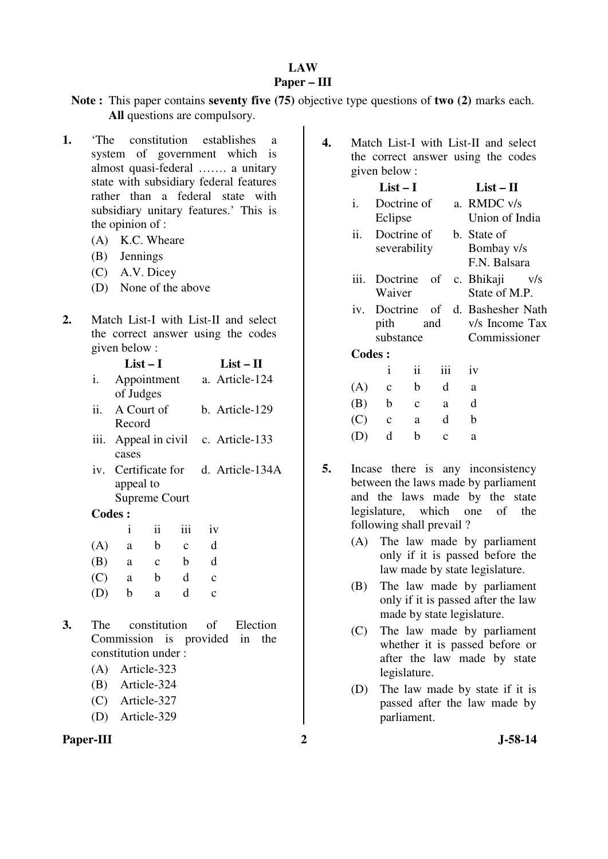#### **LAW Paper – III**

## **Note :** This paper contains **seventy five (75)** objective type questions of **two (2)** marks each. **All** questions are compulsory.

- **1.** 'The constitution establishes a system of government which is almost quasi-federal ……. a unitary state with subsidiary federal features rather than a federal state with subsidiary unitary features.' This is the opinion of :
	- (A) K.C. Wheare
	- (B) Jennings
	- (C) A.V. Dicey
	- (D) None of the above
- **2.** Match List-I with List-II and select the correct answer using the codes given below :

|               |                                   | List – I     |              |              | $List-II$                           |
|---------------|-----------------------------------|--------------|--------------|--------------|-------------------------------------|
| i.            | of Judges                         |              |              |              | Appointment a. Article-124          |
| ii.           | A Court of<br>Record              |              |              |              | b. Article-129                      |
| iii.          | cases                             |              |              |              | Appeal in civil c. Article-133      |
|               | appeal to<br><b>Supreme Court</b> |              |              |              | iv. Certificate for d. Article-134A |
| <b>Codes:</b> |                                   |              |              |              |                                     |
|               | i                                 | ii           | iii          | iv           |                                     |
| (A)           | a                                 | $\mathbf b$  | $\mathbf{C}$ | d            |                                     |
| (B)           | a                                 | $\mathbf{C}$ | $\mathbf b$  | d            |                                     |
| (C)           | a                                 | $\mathbf b$  | d            | $\mathbf{C}$ |                                     |
| (D)           | b                                 | a            | d            | $\mathbf{C}$ |                                     |
|               |                                   |              |              |              |                                     |

- **3.** The constitution of Election Commission is provided in the constitution under :
	- (A) Article-323
	- (B) Article-324
	- (C) Article-327
	- (D) Article-329

**4.** Match List-I with List-II and select the correct answer using the codes given below :

## **List – I List – II**

- i. Doctrine of Eclipse a. RMDC v/s Union of India ii. Doctrine of severability b. State of Bombay v/s F.N. Balsara
- iii. Doctrine of Waiver c. Bhikaji v/s State of M.P.
- iv. Doctrine of pith and substance d. Bashesher Nath v/s Income Tax Commissioner

 **Codes :**

|     | Ť           | 11          | 111         | 1V |
|-----|-------------|-------------|-------------|----|
| (A) | $\mathbf c$ | b           | d           | a  |
| (B) | $\mathbf b$ | $\mathbf c$ | a           | d  |
| (C) | $\mathbf c$ | a           | d           | h  |
| (D) | d           | b           | $\mathbf c$ | a  |

- **5.** Incase there is any inconsistency between the laws made by parliament and the laws made by the state legislature, which one of the following shall prevail ?
	- (A) The law made by parliament only if it is passed before the law made by state legislature.
	- (B) The law made by parliament only if it is passed after the law made by state legislature.
	- (C) The law made by parliament whether it is passed before or after the law made by state legislature.
	- (D) The law made by state if it is passed after the law made by parliament.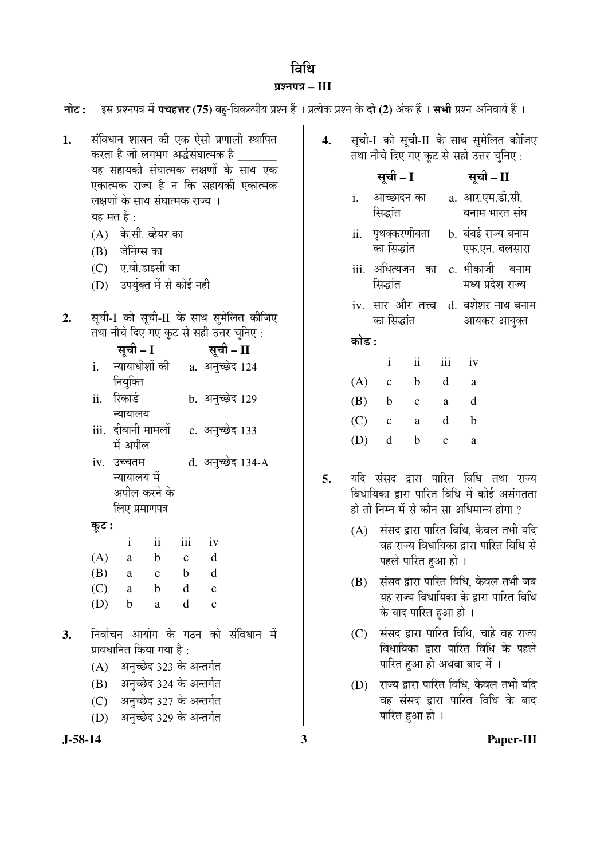# विधि

# प्रश्नपत्र – III

| नोट :     | - इस प्रश्नपत्र में <b>पचहत्तर (75</b> ) बहु-विकल्पीय प्रश्न हैं । प्रत्येक प्रश्न के <b>दो (2</b> ) अंक हैं । <b>सभी</b> प्रश्न अनिवार्य हैं । |    |       |                                                                                                             |
|-----------|-------------------------------------------------------------------------------------------------------------------------------------------------|----|-------|-------------------------------------------------------------------------------------------------------------|
| 1.        | संविधान शासन की एक ऐसी प्रणाली स्थापित<br>करता है जो लगभग अर्द्धसंघात्मक है<br>यह सहायकी संघात्मक लक्षणों के साथ एक                             |    |       | सूची-I को सूची-II के साथ सुमेलित कीजिए<br>तथा नीचे दिए गए कूट से सही उत्तर चुनिए :<br>सूची – I<br>सूची – II |
|           | एकात्मक राज्य है न कि सहायकी एकात्मक<br>लक्षणों के साथ संघात्मक राज्य ।<br>यह मत है :                                                           |    | i.    | a. आर.एम.डी.सी.<br>आच्छादन का<br>सिद्धांत<br>बनाम भारत संघ                                                  |
|           | (A) के.सी. व्हेयर का<br>जेनिंग्स का<br>(B)                                                                                                      |    |       | ii. पृथक्करणीयता<br>b. बंबई राज्य बनाम<br>का सिद्धांत<br>एफ.एन. बलसारा                                      |
|           | ए.वी.डाइसी का<br>(C)<br>उपर्युक्त में से कोई नहीं<br>(D)                                                                                        |    |       | iii. अधित्यजन का<br>c. भीकाजी<br>बनाम<br>सिद्धांत<br>मध्य प्रदेश राज्य                                      |
| 2.        | सूची-I को सूची-II के साथ सुमेलित कीजिए                                                                                                          |    |       | iv. सार और तत्त्व d. बशेशर नाथ बनाम<br>का सिद्धांत<br>आयकर आयुक्त                                           |
|           | तथा नीचे दिए गए कूट से सही उत्तर चुनिए:<br>सूची – I सूची – II                                                                                   |    | कोड : |                                                                                                             |
|           | न्यायाधीशों की<br>a. अनुच्छेद 124<br>i.                                                                                                         |    |       | ii<br>iii<br>$\mathbf{i}$<br>iv                                                                             |
|           | नियुक्ति                                                                                                                                        |    | (A)   | $\mathbf b$<br>d<br>$\mathbf{C}$<br>$\rm{a}$                                                                |
|           | रिकार्ड<br>ii.<br>b. अनुच्छेद 129<br>न्यायालय                                                                                                   |    | (B)   | $\mathbf b$<br>d<br>$\mathbf c$<br>a                                                                        |
|           | iii. दीवानी मामलों<br>c. अनुच्छेद 133                                                                                                           |    | (C)   | d<br>$\mathbf b$<br>$\mathbf{C}$<br>a                                                                       |
|           | में अपील                                                                                                                                        |    | (D)   | $\mathbf d$<br>$\mathbf b$<br>$\mathbf{C}$<br>a                                                             |
|           | d. अनुच्छेद 134-A<br>iv. उच्चतम                                                                                                                 |    |       |                                                                                                             |
|           | न्यायालय में                                                                                                                                    | 5. |       | यदि संसद द्वारा पारित विधि तथा राज्य                                                                        |
|           | अपील करने के<br>लिए प्रमाणपत्र                                                                                                                  |    |       | विधायिका द्वारा पारित विधि में कोई असंगतता<br>हो तो निम्न में से कौन सा अधिमान्य होगा ?                     |
|           | कूट :                                                                                                                                           |    |       | (A) संसद द्वारा पारित विधि, केवल तभी यदि                                                                    |
|           | $\mathbf{ii}$<br>iii<br>$\mathbf{i}$<br>iv                                                                                                      |    |       | वह राज्य विधायिका द्वारा पारित विधि से                                                                      |
|           | $(A)$ a b c d                                                                                                                                   |    |       | पहले पारित हुआ हो ।                                                                                         |
|           | (B)<br>$\mathbf b$<br>d<br>$\mathbf c$<br>a                                                                                                     |    | (B)   | संसद द्वारा पारित विधि, केवल तभी जब                                                                         |
|           | (C)<br>$\mathbf b$<br>d<br>a<br>$\mathbf c$<br>(D)<br>d<br>$\mathbf b$<br>$\mathbf c$<br>a                                                      |    |       | यह राज्य विधायिका के द्वारा पारित विधि<br>के बाद पारित हुआ हो ।                                             |
| 3.        | निर्वाचन आयोग के गठन को संविधान में<br>प्रावधानित किया गया है :<br>अनुच्छेद 323 के अन्तर्गत<br>(A)                                              |    | (C)   | संसद द्वारा पारित विधि, चाहे वह राज्य<br>विधायिका द्वारा पारित विधि के पहले<br>पारित हुआ हो अथवा बाद में ।  |
|           | अनुच्छेद 324 के अन्तर्गत<br>(B)                                                                                                                 |    | (D)   | राज्य द्वारा पारित विधि, केवल तभी यदि                                                                       |
|           | अनुच्छेद 327 के अन्तर्गत<br>(C)                                                                                                                 |    |       | वह संसद द्वारा पारित विधि के बाद                                                                            |
|           | अनुच्छेद 329 के अन्तर्गत<br>(D)                                                                                                                 |    |       | पारित हुआ हो ।                                                                                              |
| $J-58-14$ |                                                                                                                                                 | 3  |       | Paper-III                                                                                                   |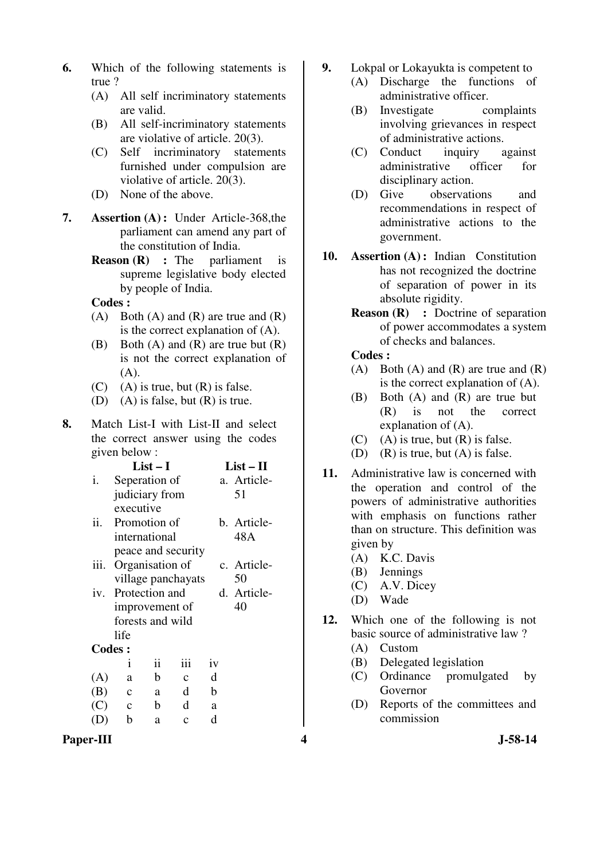- **6.** Which of the following statements is true ?
	- (A) All self incriminatory statements are valid.
	- (B) All self-incriminatory statements are violative of article. 20(3).
	- (C) Self incriminatory statements furnished under compulsion are violative of article. 20(3).
	- (D) None of the above.
- **7. Assertion (A) :** Under Article-368,the parliament can amend any part of the constitution of India.
	- **Reason (R) :** The parliament is supreme legislative body elected by people of India.

- (A) Both (A) and (R) are true and  $(R)$ is the correct explanation of (A).
- (B) Both  $(A)$  and  $(R)$  are true but  $(R)$ is not the correct explanation of  $(A)$ .
- $(C)$  (A) is true, but  $(R)$  is false.
- (D) (A) is false, but (R) is true.
- **8.** Match List-I with List-II and select the correct answer using the codes given below :

|     |      |               | $List-I$           |              |             | $List-II$   |
|-----|------|---------------|--------------------|--------------|-------------|-------------|
| i.  |      |               | Seperation of      |              |             | a. Article- |
|     |      |               | judiciary from     |              |             | 51          |
|     |      | executive     |                    |              |             |             |
| ii. |      |               | Promotion of       |              |             | b. Article- |
|     |      |               | international      |              |             | 48A         |
|     |      |               | peace and security |              |             |             |
|     | iii. |               | Organisation of    |              | c. Article- |             |
|     |      |               | village panchayats |              | 50          |             |
|     |      |               | iv. Protection and |              |             | d. Article- |
|     |      |               | improvement of     |              | 40          |             |
|     |      |               | forests and wild   |              |             |             |
|     |      | life          |                    |              |             |             |
|     |      | <b>Codes:</b> |                    |              |             |             |
|     |      | Ť             | ii                 | iii          | iv          |             |
|     | (A)  | a             | $\mathbf b$        | $\mathbf{C}$ | d           |             |
|     | (B)  | $\mathbf c$   | a                  | d            | b           |             |
|     | (C)  | $\mathbf{c}$  | $\mathbf b$        | d            | a           |             |
|     |      | b             | a                  | $\mathbf c$  | d           |             |
|     |      |               |                    |              |             |             |

- **9.** Lokpal or Lokayukta is competent to
	- (A) Discharge the functions of administrative officer.
		- (B) Investigate complaints involving grievances in respect of administrative actions.
		- (C) Conduct inquiry against administrative officer for disciplinary action.
		- (D) Give observations and recommendations in respect of administrative actions to the government.
- **10. Assertion (A) :** Indian Constitution has not recognized the doctrine of separation of power in its absolute rigidity.
	- **Reason (R)** : Doctrine of separation of power accommodates a system of checks and balances.

## **Codes :**

- (A) Both (A) and  $(R)$  are true and  $(R)$ is the correct explanation of (A).
- (B) Both (A) and (R) are true but (R) is not the correct explanation of (A).
- $(C)$  (A) is true, but  $(R)$  is false.
- (D) (R) is true, but  $(A)$  is false.
- **11.** Administrative law is concerned with the operation and control of the powers of administrative authorities with emphasis on functions rather than on structure. This definition was given by
	- (A) K.C. Davis
	- (B) Jennings
	- (C) A.V. Dicey
	- (D) Wade
- **12.** Which one of the following is not basic source of administrative law ?
	- (A) Custom
	- (B) Delegated legislation
	- (C) Ordinance promulgated by Governor
	- (D) Reports of the committees and commission

**Paper-III 4 J-58-14**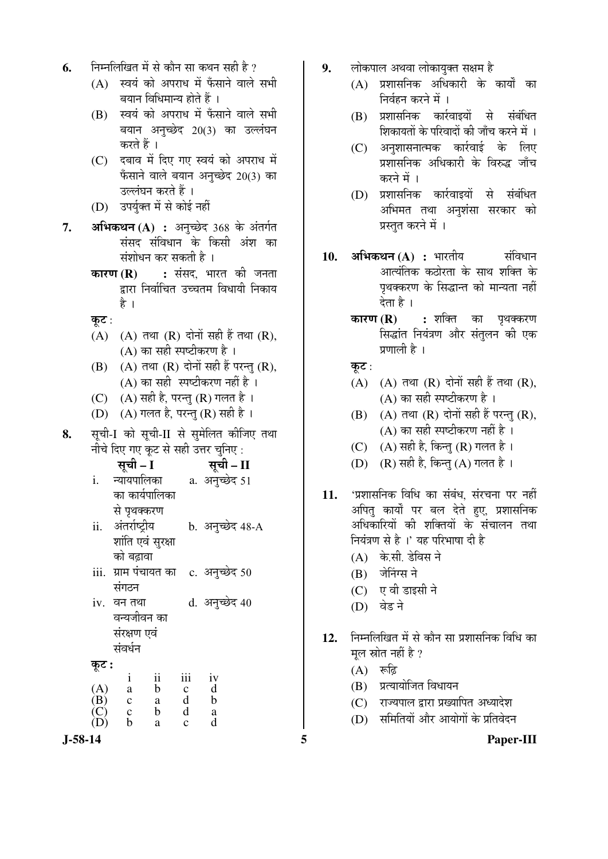- **6.** निम्नलिखित में से कौन सा कथन सही है ?
	- $(A)$  स्वयं को अपराध में फँसाने वाले सभी बयान विधिमान्य होते हैं ।
	- (B) स्वयं को अपराध में फँसाने वाले सभी बयान अनुच्छेद 20(3) का उल्लंघन करते हैं ।
	- (C) दबाव में दिए गए स्वयं को अपराध में फँसाने वाले बयान अनुच्छेद 20(3) का उल्लंघन करते हैं ।
	- (D) उपर्युक्त में से कोई नहीं
- **7. अभिकथन (A) :** अनुच्छेद 368 के अंतर्गत संसद संविधान के किसी अंश का संशोधन कर सकती है ।
	- **कारण (R) :** संसद, भारत की जनता द्वारा निर्वाचित उच्चतम विधायी निकाय हे ।
	- कुट $:$
	- $(A)$   $(A)$  तथा  $(R)$  दोनों सही हैं तथा  $(R)$ , (A) का सही स्पष्टीकरण है $\,$ ।
	- $(B)$   $(A)$  तथा  $(R)$  दोनों सही हैं परन्तु  $(R)$ , (A) का सही $\overline{R}$  स्पष्टीकरण नहीं है ।
	- (C)  $(A)$  सही है, परन्तु (R) गलत है।
	- (D)  $(A)$  गलत है, परन्तु (R) सही है ।
- 8. सूची-I को सूची-II से सुमेलित कीजिए तथा नीचे दिए गए कूट से सही उत्तर चुनिए :

| सचा | Н<br>सचा – |
|-----|------------|
|     |            |

- i. न्यायपालिका का कार्यपालिका से पृथक्करण a. अनुच्छेद 51
- ii. अंतर्राष्ट्रीय शांति एवं सरक्षा को बढ़ावा b. अनुच्छेद 48-A
- iii. ग्राम पंचायत का संगठन c. अनुच्छेद 50
- iv. वन तथा वन्यजीवन का संरक्षण एवं संवर्धन d. अनुच्छेद 40
- 

| कूट : |   |    |     |    |
|-------|---|----|-----|----|
|       |   | 11 | 111 | iv |
| (A)   | а | b  | Ċ   | d  |
| (B)   | c | a  | d   | h  |
| (C)   | C | b  | d   | a  |
| (D)   | h | a  | Ċ   | d  |

- 9. लोकपाल अथवा लोकायुक्त सक्षम है
	- $(A)$  प्रशासनिक अधिकारी के कार्यों का निर्वहन करने में ।
	- $(B)$  प्रशासनिक कार्रवाइयों से संबंधित शिकायतों के परिवादों की जाँच करने में ।
	- (C) अनुशासनात्मक कार्रवाई के लिए प्रशासनिक अधिकारी के विरुद्ध जाँच करने में ।
	- (D) प्रशासनिक कार्रवाइयों से संबंधित अभिमत तथा अनुशंसा सरकार को प्रस्तत करने में ।
- 1**0. अभिकथन (A) :** भारतीय संविधान आत्यंतिक कठोरता के साथ शक्ति के पृथक्करण के सिद्धान्त को मान्यता नहीं देता है ।
	- **कारण (R) :** शक्ति का पृथक्करण सिद्धांत नियंत्रण और संतुलन की एक प्रणाली है ।
	- कूट:
	- $(A)$   $(A)$  तथा  $(R)$  दोनों सही हैं तथा  $(R)$ ,  $(A)$  का सही स्पष्टीकरण है ।
	- $(B)$   $(A)$  तथा  $(R)$  दोनों सही हैं परन्तु  $(R)$ , (A) का सही स्पष्टीकरण नहीं है $\perp$
	- (C)  $(A)$  सही है, किन्तु (R) गलत है।
	- (D)  $(R)$  सही है, किन्त (A) गलत है।
- 11. 'प्रशासनिक विधि का संबंध, संरचना पर नहीं अपित् कार्यों पर बल देते हुए, प्रशासनिक अधिकारियों की शक्तियों के संचालन तथा नियंत्रण से है ।' यह परिभाषा दी है
	- $(A)$  के.सी. डेविस ने
	- $(B)$  जेनिंग्स ने
	- $(C)$  एवी डाइसी ने
	- (D) वेड ने
- 12. निम्नलिखित में से कौन सा प्रशासनिक विधि का मूल स्रोत नहीं है ?
	- $(A)$  ৰুদ্ভি
	- (B) प्रत्यायोजित विधायन
	- $(C)$  राज्यपाल द्वारा प्रख्यापित अध्यादेश
	- (D) समितियों और आयोगों के प्रतिवेदन
- **J-58-14 5 Paper-III**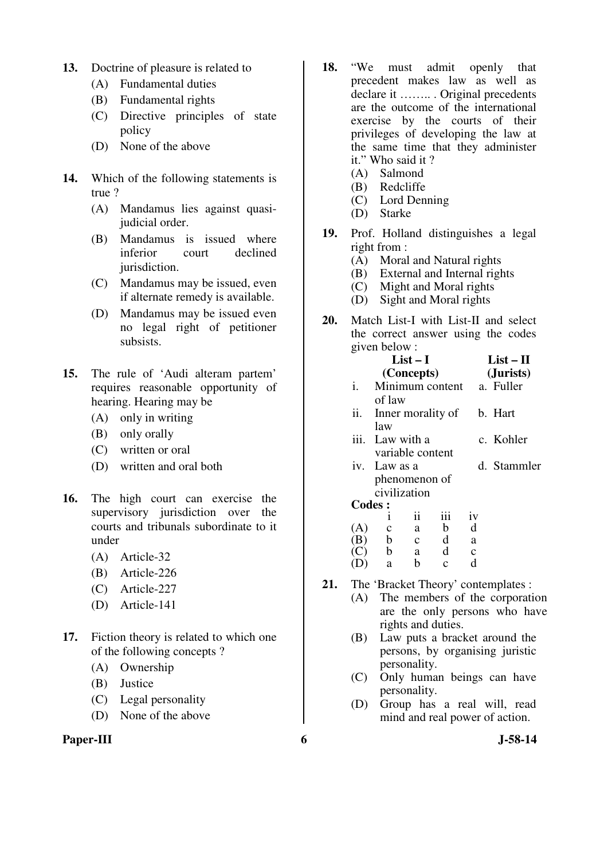- **13.** Doctrine of pleasure is related to
	- (A) Fundamental duties
	- (B) Fundamental rights
	- (C) Directive principles of state policy
	- (D) None of the above
- **14.** Which of the following statements is true ?
	- (A) Mandamus lies against quasijudicial order.
	- (B) Mandamus is issued where inferior court declined jurisdiction.
	- (C) Mandamus may be issued, even if alternate remedy is available.
	- (D) Mandamus may be issued even no legal right of petitioner subsists.
- **15.** The rule of 'Audi alteram partem' requires reasonable opportunity of hearing. Hearing may be
	- (A) only in writing
	- (B) only orally
	- (C) written or oral
	- (D) written and oral both
- **16.** The high court can exercise the supervisory jurisdiction over the courts and tribunals subordinate to it under
	- (A) Article-32
	- (B) Article-226
	- (C) Article-227
	- (D) Article-141
- **17.** Fiction theory is related to which one of the following concepts ?
	- (A) Ownership
	- (B) Justice
	- (C) Legal personality
	- (D) None of the above

## Paper-III 6 J-58-14

- **18.** "We must admit openly that precedent makes law as well as declare it …….. . Original precedents are the outcome of the international exercise by the courts of their privileges of developing the law at the same time that they administer it." Who said it ?
	- (A) Salmond
	- (B) Redcliffe
	- (C) Lord Denning
	- (D) Starke
- **19.** Prof. Holland distinguishes a legal right from :
	- (A) Moral and Natural rights
	- (B) External and Internal rights
	- (C) Might and Moral rights
	- (D) Sight and Moral rights
- **20.** Match List-I with List-II and select the correct answer using the codes given below :

|               |                  | $List-I$     |                   |              | $List-II$   |
|---------------|------------------|--------------|-------------------|--------------|-------------|
|               |                  | (Concepts)   |                   |              | (Jurists)   |
| i.            |                  |              | Minimum content   |              | a. Fuller   |
|               | of law           |              |                   |              |             |
| ii.           |                  |              | Inner morality of |              | b. Hart     |
|               | law              |              |                   |              |             |
|               | iii. Law with a  |              |                   |              | c. Kohler   |
|               | variable content |              |                   |              |             |
|               | iv. Law as a     |              |                   |              | d. Stammler |
|               | phenomenon of    |              |                   |              |             |
|               | civilization     |              |                   |              |             |
| <b>Codes:</b> |                  |              |                   |              |             |
|               | Ť                | ii           | iii               | iv           |             |
| (A)           | $\mathbf c$      | a            | $\mathbf b$       | d            |             |
| (B)           | $\mathbf b$      | $\mathbf{c}$ | $\mathbf d$       | a            |             |
|               | b                | a a          | $\mathbf d$       | $\mathbf{C}$ |             |
|               | a                | b            | $\mathbf{C}$      | d            |             |
|               |                  |              |                   |              |             |

- **21.** The 'Bracket Theory' contemplates :
	- (A) The members of the corporation are the only persons who have rights and duties.
	- (B) Law puts a bracket around the persons, by organising juristic personality.
	- (C) Only human beings can have personality.
	- (D) Group has a real will, read mind and real power of action.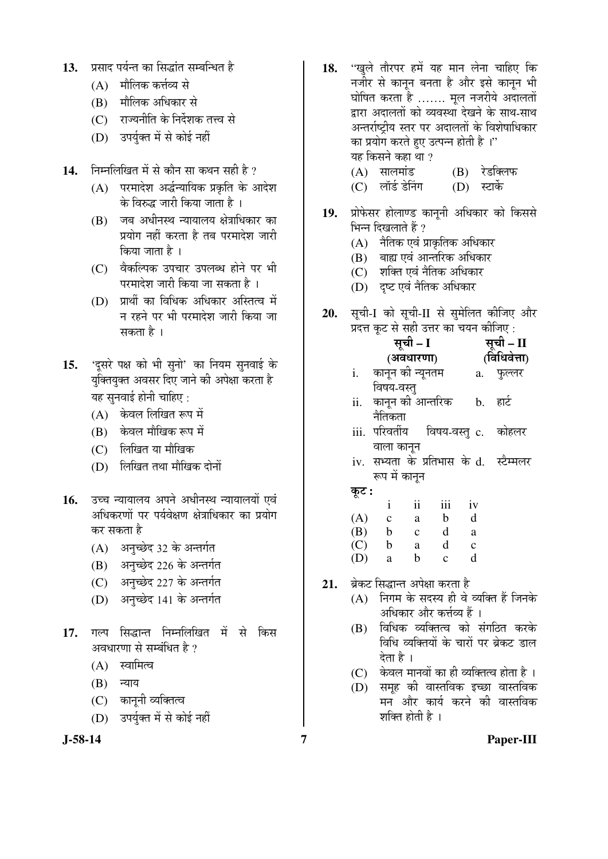- 13. <u>प्रसाद पर्यन्त का सिद्धांत सम्बन्धित है</u>
	- $(A)$  मौलिक कर्त्तव्य से
	- (B) मौलिक अधिकार से
	- $(C)$  । राज्यनीति के निर्देशक तत्त्व से
	- (D) उपर्युक्त में से कोई नहीं
- 14. निम्नलिखित में से कौन सा कथन सही है ?
	- $(A)$  परमादेश अर्द्धन्यायिक प्रकृति के आदेश के विरुद्ध जारी किया जाता है ।
	- $(B)$  जब अधीनस्थ न्यायालय क्षेत्राधिकार का प्रयोग नहीं करता है तब परमादेश जारी किया जाता है ।
	- (C) वैकल्पिक उपचार उपलब्ध होने पर भी परमादेश जारी किया जा सकता है ।
	- $(D)$  प्रार्थी का विधिक अधिकार अस्तित्व में न रहने पर भी परमादेश जारी किया जा सकता है $\perp$
- 15. 'दुसरे पक्ष को भी सुनो' का नियम सुनवाई के युक्तियुक्त अवसर दिए जाने की अपेक्षा करता है यह सुनवाई होनी चाहिए :
	- (A) केवल लिखित रूप में
	- (B) केवल मौखिक रूप में
	- (C) लिखित या मौखिक
	- $(D)$  लिखित तथा मौखिक दोनों
- 16. उच्च न्यायालय अपने अधीनस्थ न्यायालयों एवं अधिकरणों पर पर्यवेक्षण क्षेत्राधिकार का प्रयोग कर सकता है
	- (A) अनुच्छेद 32 के अन्तर्गत
	- (B) अनुच्छेद 226 के अन्तर्गत
	- (C) अनुच्छेद 227 के अन्तर्गत
	- (D) अनुच्छेद 141 के अन्तर्गत
- 17. गल्प सिद्धान्त निम्नलिखित में से किस अवधारणा से सम्बंधित है ?
	- $(A)$  स्वामित्व
	- $(B)$  न्याय
	- (C) काननी व्यक्तित्व
	- (D) उपर्युक्त में से कोई नहीं



- 18. "खुले तौरपर हमें यह मान लेना चाहिए कि नजीर से कानून बनता है और इसे कानून भी धोषित करता है ....... मूल नजरीये अदालतों द्वारा अदालतों को व्यवस्था देखने के साथ-साथ अन्तर्राष्ट्रीय स्तर पर अदालतों के विशेषाधिकार का प्रयोग करते हुए उत्पन्न होती है<sup>1</sup> यह किसने कहा था ?
	- (A) सालमांड (B) रेडक्लिफ<br>(C) लॉर्ड डेनिंग (D) स्टार्के
	- (C) लॉर्ड डेनिंग
- 19. प्रोफेसर होलाण्ड कानुनी अधिकार को किससे भिन्न दिखलाते हैं ?
	- $(A)$  नैतिक एवं प्राकृतिक अधिकार
	- (B) बाह्य एवं आन्तरिक अधिकार
	- (C) शक्ति एवं नैतिक अधिकार
	- (D) दृष्ट एवं नैतिक अधिकार
- 20. सूची-I को सूची-II से सुमेलित कीजिए और  $\hat{\mathbf{u}}$ देन कट से सही उत्तर का चयन कीजिए :

| $\lambda$ |                  |              |             |              | $\sim$ .                                |
|-----------|------------------|--------------|-------------|--------------|-----------------------------------------|
|           | सूची - I         |              | सूची – II   |              |                                         |
|           |                  | (अवधारणा)    |             | (विधिवेत्ता) |                                         |
| i.        | कानून की न्यूनतम |              |             | a. फुल्लर    |                                         |
|           | विषय-वस्त्       |              |             |              |                                         |
| ii.       | कानून की आन्तरिक |              |             | b.           | हार्ट                                   |
|           | नैतिकता          |              |             |              |                                         |
|           |                  |              |             |              | iii. परिवर्तीय  विषय-वस्तु c. कोहलर     |
|           | वाला कानून       |              |             |              |                                         |
|           |                  |              |             |              | iv. सभ्यता के प्रतिभास के d.  स्टैम्मलर |
|           | रूप में कानुन    |              |             |              |                                         |
| कूट :     |                  |              |             |              |                                         |
|           | $\mathbf{i}$     | ii           | iii         | iv           |                                         |
| (A)       | $\mathbf{c}$     | a            | $\mathbf b$ | d            |                                         |
| (B)       | $\mathbf{b}$     | $\mathbf{c}$ | $\mathbf d$ | a            |                                         |
| (C)       | b                | a            | d           | $\mathbf c$  |                                         |

- (D) a b c d
- 21. ब्रेकट सिद्धान्त अपेक्षा करता है
	- $(A)$  निगम के सदस्य ही वे व्यक्ति हैं जिनके अधिकार और कर्त्तव्य हैं ।
	- $(B)$  विधिक व्यक्तित्व को संगठित करके <u>विधि व्यक्तियों के चारों पर ब्रेकट डाल</u> देता है ।
	- $(C)$  केवल मानवों का ही व्यक्तित्व होता है।
	- (D) समुह की वास्तविक इच्छा वास्तविक मन और कार्य करने की वास्तविक शक्ति होती है ।

**J-58-14 7 Paper-III**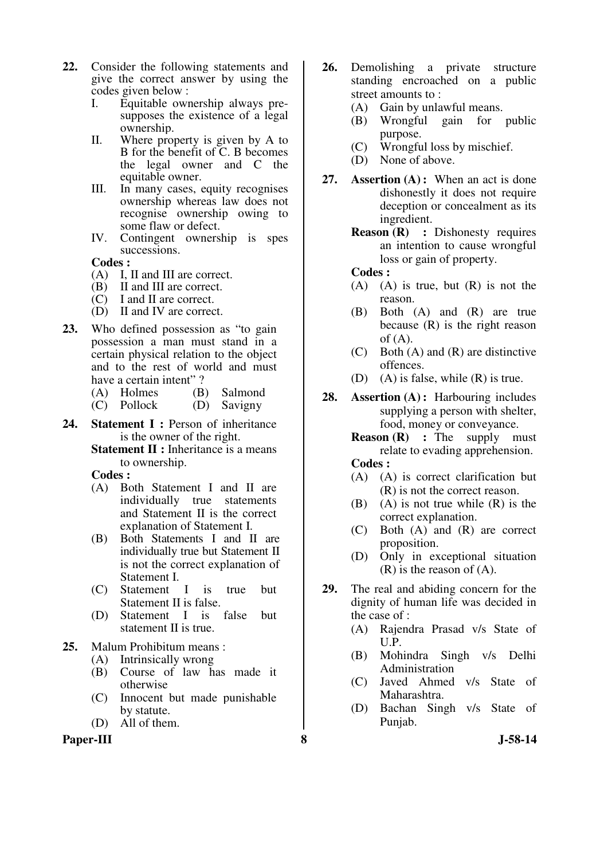- **22.** Consider the following statements and give the correct answer by using the codes given below :
	- I. Equitable ownership always presupposes the existence of a legal ownership.
	- II. Where property is given by A to B for the benefit of C. B becomes the legal owner and C the equitable owner.
	- III. In many cases, equity recognises ownership whereas law does not recognise ownership owing to some flaw or defect.
	- IV. Contingent ownership is spes successions.

- (A) I, II and III are correct.
- (B) II and III are correct.
- (C) I and II are correct.
- (D) II and IV are correct.
- **23.** Who defined possession as "to gain possession a man must stand in a certain physical relation to the object and to the rest of world and must have a certain intent"?
	- (A) Holmes (B) Salmond<br>(C) Pollock (D) Savigny
	- $(C)$  Pollock
- **24. Statement I :** Person of inheritance is the owner of the right.
	- **Statement II :** Inheritance is a means to ownership.

**Codes :** 

- (A) Both Statement I and II are individually true statements and Statement II is the correct explanation of Statement I.
- (B) Both Statements I and II are individually true but Statement II is not the correct explanation of Statement I.
- (C) Statement I is true but Statement II is false.
- (D) Statement I is false but statement II is true.

### **25.** Malum Prohibitum means :

- (A) Intrinsically wrong
- (B) Course of law has made it otherwise
- (C) Innocent but made punishable by statute.
- (D) All of them.

Paper-III 8 **8** J-58-14

- **26.** Demolishing a private structure standing encroached on a public street amounts to :
	- (A) Gain by unlawful means.
	- (B) Wrongful gain for public purpose.
	- (C) Wrongful loss by mischief.
	- (D) None of above.
- **27. Assertion (A) :** When an act is done dishonestly it does not require deception or concealment as its ingredient.
	- **Reason (R) :** Dishonesty requires an intention to cause wrongful loss or gain of property.

#### **Codes :**

- (A) (A) is true, but  $(R)$  is not the reason.
- (B) Both (A) and (R) are true because (R) is the right reason of  $(A)$ .
- (C) Both (A) and (R) are distinctive offences.
- (D) (A) is false, while (R) is true.
- **28. Assertion (A) :** Harbouring includes supplying a person with shelter, food, money or conveyance.
	- **Reason (R) :** The supply must relate to evading apprehension. **Codes :**
	- (A) (A) is correct clarification but (R) is not the correct reason.
	- $(B)$  (A) is not true while  $(R)$  is the correct explanation.
	- (C) Both (A) and (R) are correct proposition.
	- (D) Only in exceptional situation (R) is the reason of (A).
- **29.** The real and abiding concern for the dignity of human life was decided in the case of :
	- (A) Rajendra Prasad v/s State of U.P.
	- (B) Mohindra Singh v/s Delhi Administration
	- (C) Javed Ahmed v/s State of Maharashtra.
	- (D) Bachan Singh v/s State of Punjab.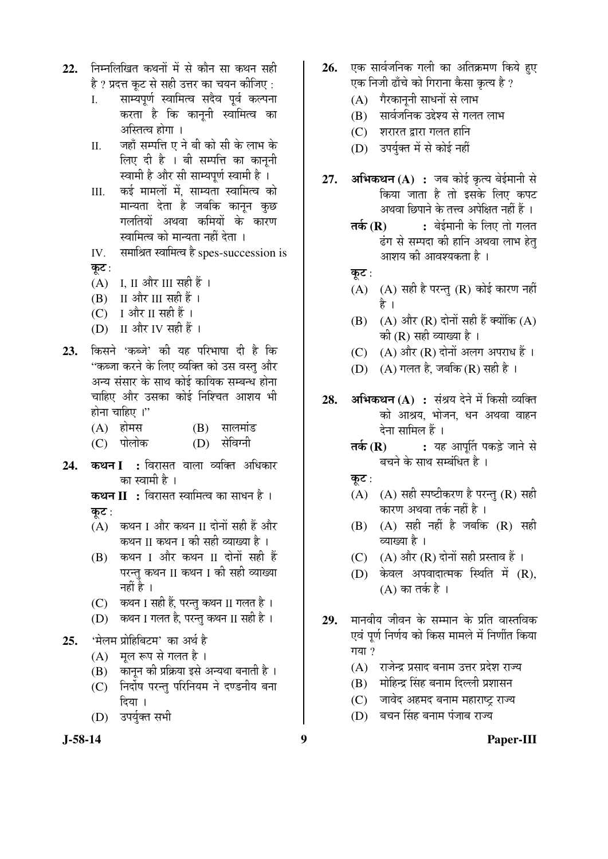- निम्नलिखित कथनों में से कौन सा कथन सही  $22.$ है ? प्रदत्त कट से सही उत्तर का चयन कीजिए :
	- साम्यपर्ण स्वामित्व सदैव पर्व कल्पना  $\mathbf{L}$ करता है कि काननी स्वामित्व का अस्तित्व होगा ।
	- जहाँ सम्पत्ति ए ने बी को सी के लाभ के  $\Pi$ . लिए दी है । बी सम्पत्ति का काननी स्वामी है और सी साम्यपर्ण स्वामी है ।
	- कई मामलों में. साम्यता स्वामित्व को III. मान्यता देता है जबकि कानून कुछ गलतियों अथवा कमियों के कारण स्वामित्व को मान्यता नहीं देता ।
	- समाश्रित स्वामित्व है spes-succession is IV. कट $:$
	- $(A)$  I. II और III सही हैं ।
	- $(B)$  II और III सही हैं।
	- $(C)$  I और II सही हैं।
	- (D) II और IV सही हैं।
- किसने 'कब्जे' की यह परिभाषा दी है कि 23. ''कब्जा करने के लिए व्यक्ति को उस वस्तु और अन्य संसार के साथ कोई कायिक सम्बन्ध होना चाहिए और उसका कोई निश्चित आशय भी होना चाहिए ।"
	- $(A)$  होमस  $(B)$  सालमांड
	- $(C)$  पोलोक (D) सेविग्नी
- कथन I : विरासत वाला व्यक्ति अधिकार 24. का स्वामी है ।

**कथन II :** विरासत स्वामित्व का साधन है। कट $:$ 

- (A) कथन I और कथन II दोनों सही हैं और कथन II कथन I की सही व्याख्या है ।
- (B) कथन I और कथन II दोनों सही हैं परन्त कथन II कथन I की सही व्याख्या नहीं है ।
- (C) कथन I सही हैं, परन्तु कथन II गलत है।
- (D) कथन I गलत है, परन्तु कथन II सही है ।
- 'मेलम प्रोहिबिटम' का अर्थ है  $25.$ 
	- मल रूप से गलत है।  $(A)$
	- कानून की प्रक्रिया इसे अन्यथा बनाती है । (B)
	- निर्दोष परन्त परिनियम ने दण्डनीय बना  $(C)$ दिया ।
	- (D) उपर्युक्त सभी
- एक सार्वजनिक गली का अतिक्रमण किये हए  $26.$ एक निजी ढाँचे को गिराना कैसा कृत्य है ?
	- (A) गैरकाननी साधनों से लाभ
	- (B) सार्वजनिक उद्देश्य से गलत लाभ
	- $(C)$  शरारत द्वारा गलत हानि
	- (D) उपर्यक्त में से कोई नहीं
- अभिकथन $(A)$ : जब कोई कृत्य बेईमानी से 27. किया जाता है तो इसके लिए कपट अथवा छिपाने के तत्त्व अपेक्षित नहीं हैं ।
	- : बेईमानी के लिए तो गलत तके $(R)$ ढंग से सम्पदा की हानि अथवा लाभ हेत् आशय की आवश्यकता है ।
	- कुट:
	- $(A)$   $(A)$  सही है परन्तु  $(R)$  कोई कारण नहीं है ।
	- (B)  $(A)$  और  $(R)$  दोनों सही हैं क्योंकि  $(A)$ की (R) सही व्याख्या है ।
	- $(C)$   $(A)$  और  $(R)$  दोनों अलग अपराध हैं।
	- (D) (A) गलत है, जबकि (R) सही है।
- अभिकथन (A) : संश्रय देने में किसी व्यक्ति 28. को आश्रय भोजन धन अथवा वाहन देना सामिल हैं।
	- : यह आपर्ति पकड़े जाने से तर्क $(R)$ बचने के साथ सम्बंधित है ।
	- कूट:
	- (A)  $(A)$  सही स्पष्टीकरण है परन्तु (R) सही कारण अथवा तर्क नहीं है ।
	- $(B)$   $(A)$  सही नहीं है जबकि  $(R)$  सही व्याख्या है ।
	- (C)  $(A)$  और  $(R)$  दोनों सही प्रस्ताव हैं।
	- (D) केवल अपवादात्मक स्थिति में  $(R)$ ,  $(A)$  का तर्क है।
- मानवीय जीवन के सम्मान के प्रति वास्तविक 29. एवं पूर्ण निर्णय को किस मामले में निर्णीत किया गया ?
	- (A) राजेन्द्र प्रसाद बनाम उत्तर प्रदेश राज्य
	- (B) मोहिन्द्र सिंह बनाम दिल्ली प्रशासन
	- (C) जावेद अहमद बनाम महाराष्ट्र राज्य
	- (D) बचन सिंह बनाम पंजाब राज्य

Paper-III

 $\boldsymbol{9}$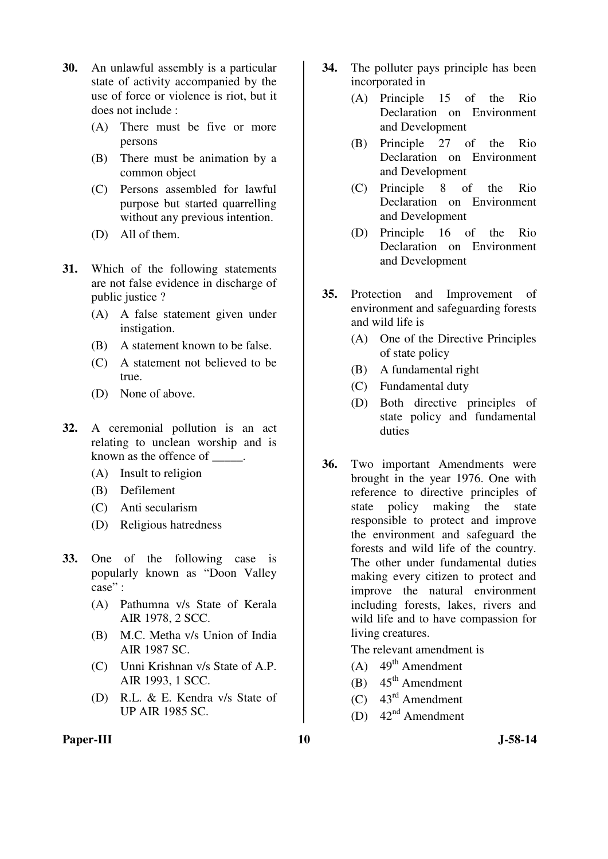- **30.** An unlawful assembly is a particular state of activity accompanied by the use of force or violence is riot, but it does not include :
	- (A) There must be five or more persons
	- (B) There must be animation by a common object
	- (C) Persons assembled for lawful purpose but started quarrelling without any previous intention.
	- (D) All of them.
- **31.** Which of the following statements are not false evidence in discharge of public justice ?
	- (A) A false statement given under instigation.
	- (B) A statement known to be false.
	- (C) A statement not believed to be true.
	- (D) None of above.
- **32.** A ceremonial pollution is an act relating to unclean worship and is known as the offence of \_\_\_\_\_.
	- (A) Insult to religion
	- (B) Defilement
	- (C) Anti secularism
	- (D) Religious hatredness
- **33.** One of the following case is popularly known as "Doon Valley case" :
	- (A) Pathumna v/s State of Kerala AIR 1978, 2 SCC.
	- (B) M.C. Metha v/s Union of India AIR 1987 SC.
	- (C) Unni Krishnan v/s State of A.P. AIR 1993, 1 SCC.
	- (D) R.L. & E. Kendra v/s State of UP AIR 1985 SC.
- **34.** The polluter pays principle has been incorporated in
	- (A) Principle 15 of the Rio Declaration on Environment and Development
	- (B) Principle 27 of the Rio Declaration on Environment and Development
	- (C) Principle 8 of the Rio Declaration on Environment and Development
	- (D) Principle 16 of the Rio Declaration on Environment and Development
- **35.** Protection and Improvement of environment and safeguarding forests and wild life is
	- (A) One of the Directive Principles of state policy
	- (B) A fundamental right
	- (C) Fundamental duty
	- (D) Both directive principles of state policy and fundamental duties
- **36.** Two important Amendments were brought in the year 1976. One with reference to directive principles of state policy making the state responsible to protect and improve the environment and safeguard the forests and wild life of the country. The other under fundamental duties making every citizen to protect and improve the natural environment including forests, lakes, rivers and wild life and to have compassion for living creatures.

The relevant amendment is

- (A)  $49<sup>th</sup>$  Amendment
- (B)  $45<sup>th</sup>$  Amendment
- (C) 43rd Amendment
- (D)  $42<sup>nd</sup>$  Amendment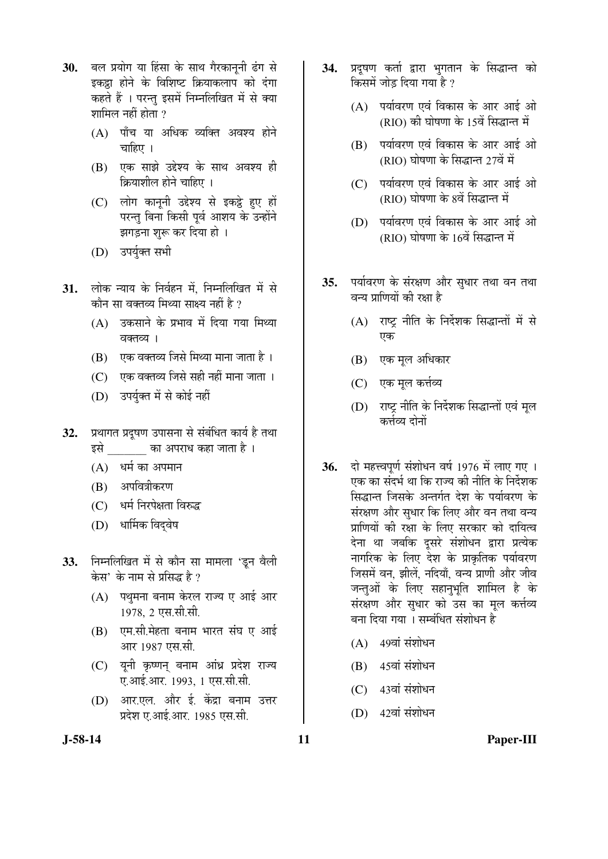- 30. बल प्रयोग या हिंसा के साथ गैरकाननी ढंग से इकट्ठा होने के विशिष्ट क्रियाकलाप को दंगा कहते हैं । परन्त इसमें निम्नलिखित में से क्या शामिल नहीं होता  $\overline{?}$ 
	- (A) पाँच या अधिक व्यक्ति अवश्य होने चाहिए ।
	- (B) एक साझे उद्देश्य के साथ अवश्य ही क्रियाशील होने चाहिए ।
	- (C) लोग कानूनी उद्देश्य से इकट्ठे हुए हों परन्तु बिना किसी पूर्व आशय के उन्होंने झगड़ना शुरू कर दिया हो ।
	- (D) उपर्युक्त सभी
- 31. लोक न्याय के निर्वहन में, निम्नलिखित में से कौन सा वक्तव्य मिथ्या साक्ष्य नहीं है ?
	- $(A)$  उकसाने के प्रभाव में दिया गया मिथ्या वक्तव्य।
	- (B) एक वक्तव्य जिसे मिथ्या माना जाता है ।
	- $(C)$  एक वक्तव्य जिसे सही नहीं माना जाता ।
	- (D) उपर्युक्त में से कोई नहीं
- 32. प्रथागत प्रदूषण उपासना से संबंधित कार्य है तथा इसे का अपराध कहा जाता है ।
	- $(A)$  धर्म का अपमान
	- (B) अपवित्रीकरण
	- (C) धर्म निरपेक्षता विरुद्ध
	- (D) धार्मिक विदवेष
- **33.** निम्नलिखित में से कौन सा मामला 'डून वैली केस' के नाम से प्रसिद्ध है ?
	- (A) पथुमना बनाम केरल राज्य ए आई आर 1978, 2 एस.सी.सी.
	- (B) एम.सी.मेहता बनाम भारत संघ ए आई आर 1987 एस.सी.
	- (C) यूनी कृष्णन् बनाम आंध्र प्रदेश राज्य ए.आई.आर. 1993, 1 एस.सी.सी.
	- (D) आर.एल. और ई. केंद्रा बनाम उत्तर प्रदेश ए.आई.आर. 1985 एस.सी.
- 34. प्रदुषण कर्ता द्वारा भुगतान के सिद्धान्त को किसमें जोड दिया गया है ?
	- $(A)$  पर्यावरण एवं विकास के आर आई ओ (RIO) की घोषणा के 15वें सिद्धान्त में
	- (B) पर्यावरण एवं विकास के आर आई ओ  $(RIO)$  घोषणा के सिद्धान्त 27वें में
	- (C) पर्यावरण एवं विकास के आर आई ओ (RIO) घोषणा के 8वें सिद्धान्त में
	- (D) पर्यावरण एवं विकास के आर आई ओ  $(RIO)$  घोषणा के 16वें सिद्धान्त में
- 35. पर्यावरण के संरक्षण और सुधार तथा वन तथा वन्य प्राणियों की रक्षा है
	- $(A)$  राष्ट्र नीति के निर्देशक सिद्धान्तों में से एक
	- (B) एक मूल अधिकार
	- (C) एक मूल कर्त्तव्य
	- (D) राष्ट्र नीति के निर्देशक सिद्धान्तों एवं मूल कर्त्तव्य दोनों
- **36.** दो महत्त्वपूर्ण संशोधन वर्ष 1976 में लाए गए । एक का संदर्भ था कि राज्य की नीति के निर्देशक सिद्धान्त जिसके अन्तर्गत देश के पर्यावरण के संरक्षण और सुधार कि लिए और वन तथा वन्य प्राणियों की रक्षा के लिए सरकार को दायित्व देना था जबकि दूसरे संशोधन द्वारा प्रत्येक नागरिक के लिए देश के प्राकृतिक पर्यावरण जिसमें वन, झीलें, नदियाँ, वन्य प्राणी और जीव जन्तुओं के लिए सहानुभूति शामिल है के संरक्षण और सुधार को उस का मूल कर्त्तव्य बना दिया गया । सम्बंधित संशोधन है
	- $(A)$  49वां संशोधन
	- $(B)$  45वां संशोधन
	- $(C)$  43वां संशोधन
	- $(D)$  42वां संशोधन

**J-58-14 11 Paper-III**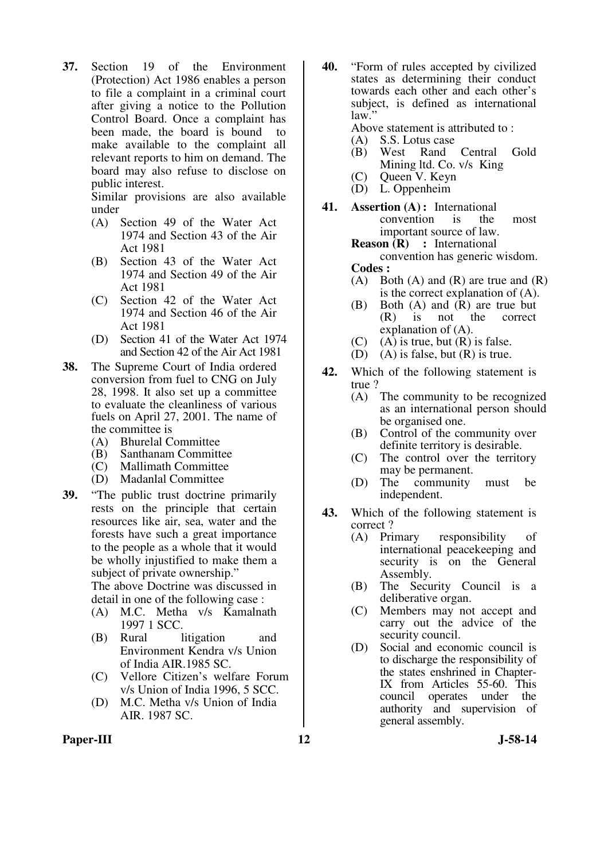**37.** Section 19 of the Environment (Protection) Act 1986 enables a person to file a complaint in a criminal court after giving a notice to the Pollution Control Board. Once a complaint has been made, the board is bound to make available to the complaint all relevant reports to him on demand. The board may also refuse to disclose on public interest.

 Similar provisions are also available under

- (A) Section 49 of the Water Act 1974 and Section 43 of the Air Act 1981
- (B) Section 43 of the Water Act 1974 and Section 49 of the Air Act 1981
- (C) Section 42 of the Water Act 1974 and Section 46 of the Air Act 1981
- (D) Section 41 of the Water Act 1974 and Section 42 of the Air Act 1981
- **38.** The Supreme Court of India ordered conversion from fuel to CNG on July 28, 1998. It also set up a committee to evaluate the cleanliness of various fuels on April 27, 2001. The name of the committee is
	- (A) Bhurelal Committee
	- (B) Santhanam Committee
	- (C) Mallimath Committee
	- (D) Madanlal Committee
- **39.** "The public trust doctrine primarily rests on the principle that certain resources like air, sea, water and the forests have such a great importance to the people as a whole that it would be wholly injustified to make them a subject of private ownership." The above Doctrine was discussed in detail in one of the following case :
	- (A) M.C. Metha v/s Kamalnath 1997 1 SCC.
	- (B) Rural litigation and Environment Kendra v/s Union of India AIR.1985 SC.
	- (C) Vellore Citizen's welfare Forum v/s Union of India 1996, 5 SCC.
	- (D) M.C. Metha v/s Union of India AIR. 1987 SC.

**40.** "Form of rules accepted by civilized states as determining their conduct towards each other and each other's subject, is defined as international law.

Above statement is attributed to :<br>(A) S.S. Lotus case

- (A) S.S. Lotus case<br>(B) West Rand
- West Rand Central Gold Mining ltd. Co. v/s King
- (C) Queen V. Keyn
- (D) L. Oppenheim
- **41. Assertion (A) :** International convention is the most important source of law.

**Reason (R) :** International convention has generic wisdom.

- **Codes :**
- (A) Both (A) and  $(R)$  are true and  $(R)$ is the correct explanation of (A).
- (B) Both (A) and (R) are true but (R) is not the correct explanation of (A).
- (C) (A) is true, but  $(R)$  is false.
- (D) (A) is false, but  $(R)$  is true.
- **42.** Which of the following statement is true ?
	- (A) The community to be recognized as an international person should be organised one.
	- (B) Control of the community over definite territory is desirable.
	- (C) The control over the territory may be permanent.
	- (D) The community must be independent.
- **43.** Which of the following statement is correct ?
	- (A) Primary responsibility of international peacekeeping and security is on the General Assembly.
	- (B) The Security Council is a deliberative organ.
	- (C) Members may not accept and carry out the advice of the security council.
	- (D) Social and economic council is to discharge the responsibility of the states enshrined in Chapter-IX from Articles 55-60. This council operates under the authority and supervision of general assembly.

#### Paper-III **12** J-58-14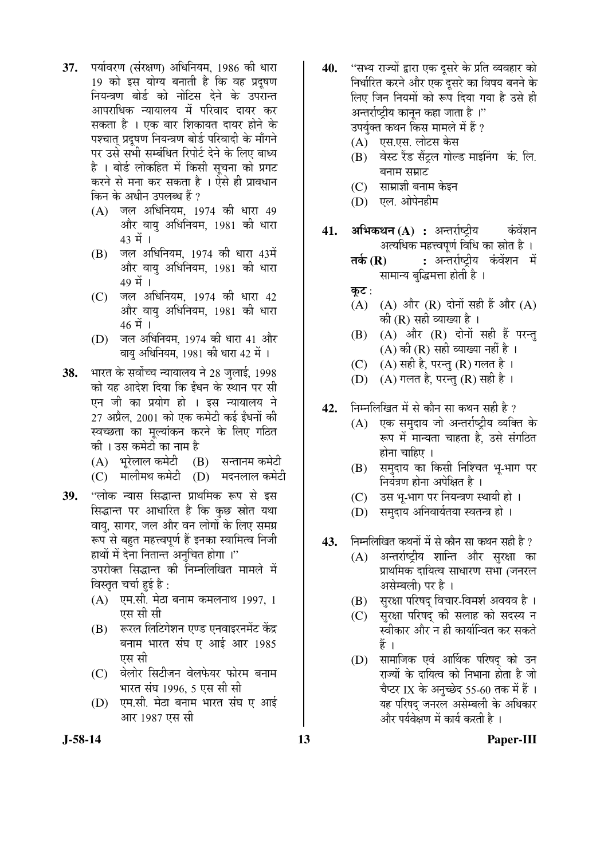- 37. पर्यावरण (संरक्षण) अधिनियम, 1986 की धारा 19 को इस योग्य बनाती है कि वह प्रदुषण नियन्त्रण बोर्ड को नोटिस देने के उपरान्त आपराधिक न्यायालय में परिवाद दायर कर सकता है । एक बार शिकायत दायर होने के पश्चात् प्रदुषण नियन्त्रण बोर्ड परिवादी के माँगने पर उसे सभी सम्बंधित रिपोर्ट देने के लिए बाध्य है । बोर्ड लोकहित में किसी सचना को प्रगट करने से मना कर सकता है । ऐसे ही प्रावधान किन के अधीन उपलब्ध हैं ?
	- (A) जल अधिनियम, 1974 की धारा 49 ओर वायु अधिनियम, 1981 को धारा  $43 \; \vec{H}$  ।
	- $(B)$  जल अधिनियम, 1974 की धारा 43में और वायु अधिनियम, 1981 क<u>ो</u> धारा  $49 \; \vec{H}$  ।
	- (C) जल अधिनियम, 1974 की धारा 42 ओर वायु अधिनियम, 1981 को धारा  $46 \; \vec{\mathrm{H}}$  ।
	- (D) जल अधिनियम, 1974 की धारा 41 और वाय अधिनियम, 1981 की धारा 42 में ।
- **38.** भारत के सर्वोच्च न्यायालय ने 28 जुलाई, 1998 को यह आदेश दिया कि ईंधन के स्थान पर सी एन जी का प्रयोग हो । इस न्यायालय ने  $27$  अप्रैल, 2001 को एक कमेटी कई ईंधनों की स्वच्छता का मूल्यांकन करने के लिए गठित को । उस कमेटी का नाम है
	- $(A)$  भरेलाल कमेटी  $(B)$  सन्तानम कमेटी
	- $(C)$  गालीमथ कमेटी  $(D)$  मदनलाल कमेटी
- 39. "लोक न्यास सिद्धान्त प्राथमिक रूप से इस सिद्धान्त पर आधारित है कि कुछ स्रोत यथा वायु, सागर, जल और वन लोगों के लिए समग्र रूप से बहुत महत्त्वपूर्ण हैं इनका स्वामित्व निजी हाथों में देना नितान्त अनचित होगा।" उपरोक्त सिद्धान्त की निम्नलिखित मामले में विस्तृत चर्चा हुई है:
	- $(A)$  एम.सी. मेठा बनाम कमलनाथ 1997, 1 एस सी सी
	- (B) स्वरल लिटिगेशन एण्ड एनवाइरनमेंट केंद्र बनाम भारत संघ ए आई आर 1985 एस सी
	- (C) वेलोर सिटीजन वेलफेयर फोरम बनाम भारत संघ 1996, 5 एस सी सी
	- (D) एम.सी. मेठा बनाम भारत संघ ए आई आर 1987 एस सी
- **40.** "सभ्य राज्यों द्वारा एक दुसरे के प्रति व्यवहार को निर्धारित करने और एक दुसरे का विषय बनने के लिए जिन नियमों को रूप दिया गया है उसे ही अन्तर्राष्ट्रीय कानुन कहा जाता है ।'' उपर्युक्त कथन किस मामले में हैं ?
	- (A) एस.एस. लोटस केस
	- (B) वेस्ट रैंड सैंटल गोल्ड माइनिंग कं. लि. बनाम सम्राट
	- (C) साम्राज्ञी बनाम केइन
	- (D) एल. ओपेनहीम
- **41. अभिकथन (A) :** अन्तर्राष्टीय कंवेंशन अत्यधिक महत्त्वपूर्ण विधि का स्रोत है ।
	- **तर्क (R) :** अन्तर्राष्ट्रीय कंवेंशन में सामान्य बुद्धिमत्ता होती है ।
	- कूट $:$
	- $(A)$   $(A)$  और  $(R)$  दोनों सही हैं और  $(A)$ की ( $R$ ) सही व्याख्या है ।
	- $(B)$   $(A)$  और  $(R)$  दोनों सही हैं परन्तु (A) की (R) सही व्याख्या नहीं है ।
	- $(C)$   $(A)$  सही है, परन्तु  $(R)$  गलत है ।
	- (D)  $(A)$  गलत है, परन्तु (R) सही है ।
- 42. निम्नलिखित में से कौन सा कथन सही है ?
	- (A) एक समुदाय जो अन्तर्राष्ट्रीय व्यक्ति के रूप में मान्यता चाहता है. उसे संगठित होना चाहिए ।
	- (B) समुदाय का किसी निश्चित भू-भाग पर नियंत्रण होना अपेक्षित है ।
	- (C) उस भू-भाग पर नियन्त्रण स्थायी हो ।
	- (D) समुदाय अनिवार्यतया स्वतन्त्र हो ।
- 43. निम्नलिखित कथनों में से कौन सा कथन सही है ?
	- (A) अन्तर्राष्ट्रीय शान्ति और सुरक्षा का प्राथमिक दायित्व साधारण सभा (जनरल असेम्बली) पर है ।
	- (B) सुरक्षा परिषद विचार-विमर्श अवयव है।
	- (C) सुरक्षा परिषद की सलाह को सदस्य न स्वीकार और न ही कार्यान्वित कर सकते Æïü …
	- (D) सामाजिक एवं आर्थिक परिषद को उन राज्यों के दायित्व को निभाना होता है जो चैप्टर IX के अनुच्छेद 55-60 तक में हैं । यह परिषद जनरल असेम्बली के अधिकार और पर्यवेक्षण में कार्य करती है ।

#### **J-58-14 13 Paper-III**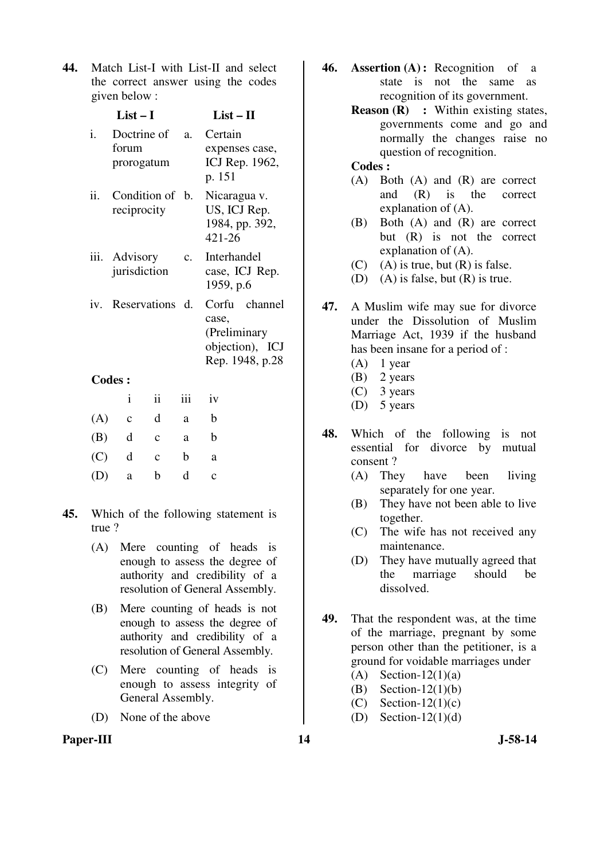**44.** Match List-I with List-II and select the correct answer using the codes given below :

|    | $List-I$                              |             | $List-II$                                                                    |
|----|---------------------------------------|-------------|------------------------------------------------------------------------------|
| i. | Doctrine of a.<br>forum<br>prorogatum |             | Certain<br>expenses case,<br>ICJ Rep. 1962,<br>p. 151                        |
|    | ii. Condition of b.<br>reciprocity    |             | Nicaragua v.<br>US, ICJ Rep.<br>1984, pp. 392,<br>421-26                     |
|    | iii. Advisory<br>jurisdiction         | $c_{\cdot}$ | Interhandel<br>case, ICJ Rep.<br>1959, p.6                                   |
|    | iv. Reservations d.                   |             | Corfu channel<br>case,<br>(Preliminary<br>objection), ICJ<br>Rep. 1948, p.28 |
|    | <b>Codes :</b>                        |             |                                                                              |

|     | $\mathbf{i}$ | $\overline{11}$ | 111 | 1V          |
|-----|--------------|-----------------|-----|-------------|
| (A) | $\mathbf{c}$ | d               | a   | b           |
| (B) | d            | $\mathbf c$     | a   | b           |
| (C) | d            | $\mathbf c$     | b   | a           |
| (D) | a            | b               | d   | $\mathbf c$ |

- **45.** Which of the following statement is true ?
	- (A) Mere counting of heads is enough to assess the degree of authority and credibility of a resolution of General Assembly.
	- (B) Mere counting of heads is not enough to assess the degree of authority and credibility of a resolution of General Assembly.
	- (C) Mere counting of heads is enough to assess integrity of General Assembly.
	- (D) None of the above

## Paper-III **14** J-58-14

- **46. Assertion (A) :** Recognition of a state is not the same as recognition of its government.
	- **Reason (R) :** Within existing states, governments come and go and normally the changes raise no question of recognition.

### **Codes :**

- (A) Both (A) and (R) are correct and (R) is the correct explanation of (A).
- (B) Both (A) and (R) are correct but (R) is not the correct explanation of (A).
- $(C)$  (A) is true, but  $(R)$  is false.
- (D) (A) is false, but (R) is true.
- **47.** A Muslim wife may sue for divorce under the Dissolution of Muslim Marriage Act, 1939 if the husband has been insane for a period of :
	- $(A)$  1 year
	- (B) 2 years
	- (C) 3 years
	- (D) 5 years
- **48.** Which of the following is not essential for divorce by mutual consent ?
	- (A) They have been living separately for one year.
	- (B) They have not been able to live together.
	- (C) The wife has not received any maintenance.
	- (D) They have mutually agreed that the marriage should be dissolved.
- **49.** That the respondent was, at the time of the marriage, pregnant by some person other than the petitioner, is a ground for voidable marriages under
	- $(A)$  Section-12(1)(a)
	- (B) Section-12(1)(b)
	- $(C)$  Section-12(1)(c)
	- (D) Section- $12(1)(d)$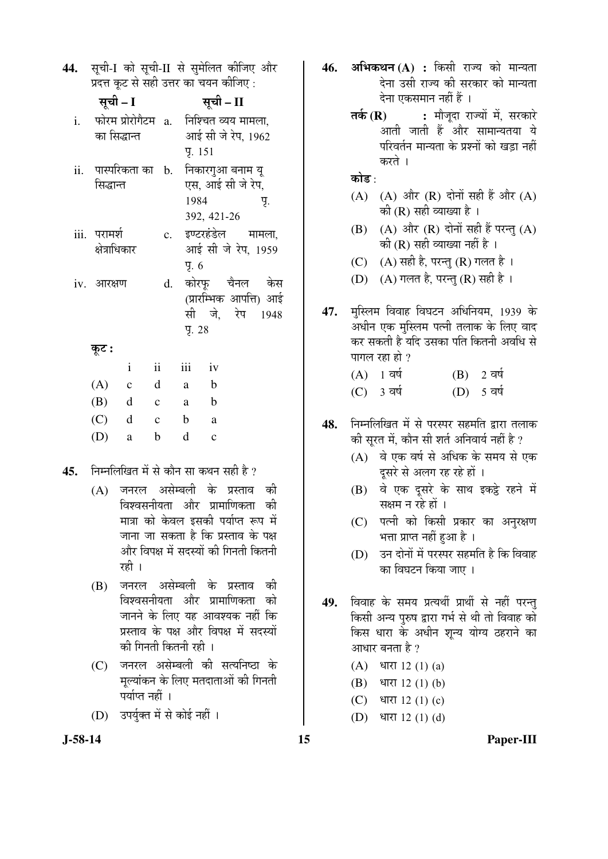44. सची-I को सची-II से समेलित कीजिए और प्रदत्त कट से सही उत्तर का चयन कीजिए:

|     | सूची – I                      |                    |                         |                        | सूची – II                                                |                                                                |
|-----|-------------------------------|--------------------|-------------------------|------------------------|----------------------------------------------------------|----------------------------------------------------------------|
| i.  | का सिद्धान्त                  | फोरम प्रोरोगैटम a. |                         |                        | निश्चित व्यय मामला,                                      | आई सी जे रेप, 1962                                             |
| ii. | सिद्धान्त                     |                    |                         | <b>y</b> . 151<br>1984 | पास्परिकता का b.   निकारगुआ बनाम यू<br>एस, आई सी जे रेप, | Ч.                                                             |
|     | iii. परामर्श<br>क्षेत्राधिकार |                    |                         | Y. 6                   | 392, 421-26                                              | c. इण्टरहंडेल मामला,<br>आई सी जे रेप, 1959                     |
|     | iv. आरक्षण                    |                    |                         | 9.28                   |                                                          | d. कोरफ़ चैनल केस<br>(प्रारम्भिक आपत्ति) आई<br>सी जे, रेप 1948 |
|     | कूट :                         |                    |                         |                        |                                                          |                                                                |
|     |                               | $\mathbf{i}$       | $\overline{\mathbf{u}}$ | iii                    | iv                                                       |                                                                |
|     | (A)                           | c                  | d                       | a —                    | b                                                        |                                                                |

- $(B)$  $\mathbf b$ d  $\mathbf{c}$ a  $(C)$  $\mathbf{d}$  $\mathbf b$  $\mathbf{c}$ a  $(D)$  $\mathbf{h}$ d  $\mathbf{c}$ a
- निम्नलिखित में से कौन सा कथन सही है ? 45.
	- (A) जनरल असेम्बली के प्रस्ताव को विश्वसनीयता और प्रामाणिकता की मात्रा को केवल इसकी पर्याप्त रूप में जाना जा सकता है कि प्रस्ताव के पक्ष और विपक्ष में सदस्यों की गिनती कितनी रही ।
	- जनरल असेम्बली के प्रस्ताव (B) को विश्वसनीयता और प्रामाणिकता को जानने के लिए यह आवश्यक नहीं कि प्रस्ताव के पक्ष और विपक्ष में सदस्यों को गिनती कितनी रही ।
	- (C) जनरल असेम्बली की सत्यनिष्ठा के मूल्यांकन के लिए मतदाताओं की गिनती पर्याप्त नहीं ।
	- (D) उपर्युक्त में से कोई नहीं ।
- अभिकथन (A) : किसी राज्य को मान्यता 46. देना उसी राज्य की सरकार को मान्यता देना एकसमान नहीं हैं ।
	- : मौजदा राज्यों में, सरकारे तर्क  $(R)$ आती जाती हैं और सामान्यतया ये परिवर्तन मान्यता के प्रश्नों को खड़ा नहीं करते ।

कोड $\cdot$ 

- (A) (A) और (R) दोनों सही हैं और (A) की (R) सही व्याख्या है ।
- (B) (A) और (R) दोनों सही हैं परन्तु (A) की (R) सही व्याख्या नहीं है ।
- (C)  $(A)$  सही है, परन्तु (R) गलत है ।
- (D) (A) गलत है, परन्तु (R) सही है।
- मुस्लिम विवाह विघटन अधिनियम, 1939 के 47. अधीन एक मुस्लिम पत्नी तलाक के लिए वाद कर सकती है यदि उसका पति कितनी अवधि से पागल रहा हो  $\overline{?}$ 
	- $(A)$  1 वर्ष  $(B)$  2 वर्ष  $(C)$  3 वर्ष (D) 5 वर्ष
- निम्नलिखित में से परस्पर सहमति द्वारा तलाक 48. की सुरत में, कौन सी शर्त अनिवार्य नहीं है ?
	- $(A)$  वे एक वर्ष से अधिक के समय से एक दूसरे से अलग रह रहे हों ।
	- (B) वे एक दूसरे के साथ इकट्ठे रहने में सक्षम न रहे हों ।
	- (C) पत्नी को किसी प्रकार का अनुरक्षण भत्ता प्राप्त नहीं हुआ है ।
	- (D) उन दोनों में परस्पर सहमति है कि विवाह का विघटन किया जाए ।
- 49. विवाह के समय प्रत्यर्थी प्रार्थी से नहीं परन्त किसी अन्य पुरुष द्वारा गर्भ से थी तो विवाह को किस धारा के अधीन शुन्य योग्य ठहराने का आधार बनता है ?
	- (A) धारा 12 (1) (a)
	- (B) धारा 12 (1) (b)
	- $(C)$ धारा 12 (1) (c)
	- (D) धारा 12 (1) (d)

 $J-58-14$ 

Paper-III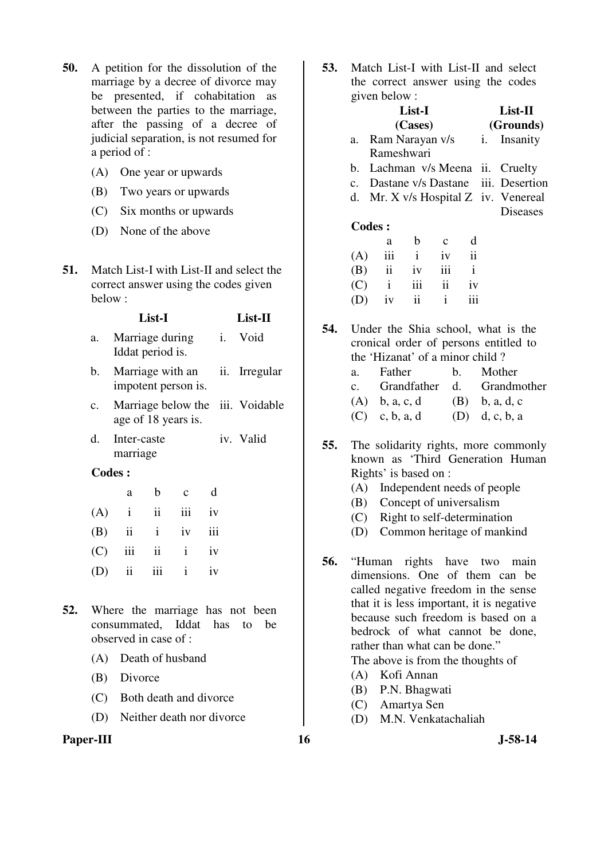- **50.** A petition for the dissolution of the marriage by a decree of divorce may be presented, if cohabitation as between the parties to the marriage, after the passing of a decree of judicial separation, is not resumed for a period of :
	- (A) One year or upwards
	- (B) Two years or upwards
	- (C) Six months or upwards
	- (D) None of the above
- **51.** Match List-I with List-II and select the correct answer using the codes given below :

- a. Marriage during Iddat period is. i. Void
- b. Marriage with an impotent person is. ii. Irregular
- c. Marriage below the iii. Voidable age of 18 years is.
- d. Inter-caste marriage iv. Valid

| a | b c d             |  |
|---|-------------------|--|
|   | $(A)$ i ii iii iv |  |
|   | $(B)$ ii i iv iii |  |
|   | $(C)$ iii ii i iv |  |
|   | $(D)$ ii iii i iv |  |

- **52.** Where the marriage has not been consummated, Iddat has to be observed in case of :
	- (A) Death of husband
	- (B) Divorce
	- (C) Both death and divorce
	- (D) Neither death nor divorce

## Paper-III **16** J-58-14

**53.** Match List-I with List-II and select the correct answer using the codes given below :

|     |    | given below:                    |             |              |                          |                     |                                       |  |
|-----|----|---------------------------------|-------------|--------------|--------------------------|---------------------|---------------------------------------|--|
|     |    |                                 | List-I      |              |                          |                     | List-II                               |  |
|     |    |                                 | (Cases)     |              | (Grounds)                |                     |                                       |  |
|     |    | a. Ram Narayan v/s              |             |              |                          | <i>i</i> . Insanity |                                       |  |
|     |    | Rameshwari                      |             |              |                          |                     |                                       |  |
|     |    |                                 |             |              |                          |                     | b. Lachman v/s Meena ii. Cruelty      |  |
|     |    |                                 |             |              |                          |                     | c. Dastane v/s Dastane iii. Desertion |  |
|     | d. |                                 |             |              |                          |                     | Mr. X v/s Hospital Z iv. Venereal     |  |
|     |    |                                 |             |              |                          |                     | <b>Diseases</b>                       |  |
|     |    | <b>Codes:</b>                   |             |              |                          |                     |                                       |  |
|     |    | a                               | $\mathbf b$ | $\mathbf{c}$ | d                        |                     |                                       |  |
|     |    | $(A)$ iii i iv                  |             |              | $\overline{\mathbf{ii}}$ |                     |                                       |  |
|     |    | $(B)$ ii iv iii i               |             |              |                          |                     |                                       |  |
|     |    | $(C)$ i iii ii iv               |             |              |                          |                     |                                       |  |
|     |    | $(D)$ iv                        | ii          | $\mathbf{i}$ | iii                      |                     |                                       |  |
|     |    |                                 |             |              |                          |                     |                                       |  |
| 54. |    |                                 |             |              |                          |                     | Under the Shia school, what is the    |  |
|     |    |                                 |             |              |                          |                     | cronical order of persons entitled to |  |
|     |    | the 'Hizanat' of a minor child? |             |              |                          |                     |                                       |  |
|     | a. | Father                          |             |              | $\mathbf{b}$ .           |                     | Mother                                |  |
|     |    |                                 |             |              |                          |                     | c. Grandfather d. Grandmother         |  |
|     |    | (A) b, a, c, d (B) b, a, d, c   |             |              |                          |                     |                                       |  |
|     |    |                                 |             |              |                          |                     |                                       |  |

- (C) c, b, a, d (D) d, c, b, a
- **55.** The solidarity rights, more commonly known as 'Third Generation Human Rights' is based on :
	- (A) Independent needs of people
	- (B) Concept of universalism
	- (C) Right to self-determination
	- (D) Common heritage of mankind
- **56.** "Human rights have two main dimensions. One of them can be called negative freedom in the sense that it is less important, it is negative because such freedom is based on a bedrock of what cannot be done, rather than what can be done."

The above is from the thoughts of

- (A) Kofi Annan
- (B) P.N. Bhagwati
- (C) Amartya Sen
- (D) M.N. Venkatachaliah
-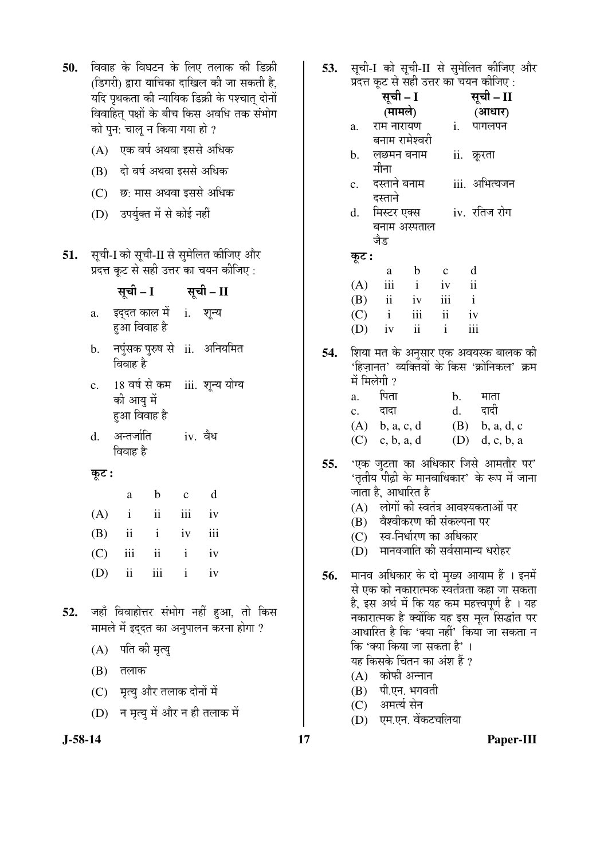| 50. | विवाह के विघटन के लिए तलाक की डिक्री<br>(डिगरी) द्वारा याचिका दाखिल की जा सकती है,<br>यदि पृथकता की न्यायिक डिक्री के पश्चात् दोनों<br>विवाहित् पक्षों के बीच किस अवधि तक संभोग<br>को पुन: चालू न किया गया हो ?<br>(A) एक वर्ष अथवा इससे अधिक<br>(B) दो वर्ष अथवा इससे अधिक<br>(C) छ: मास अथवा इससे अधिक<br>उपर्युक्त में से कोई नहीं<br>(D) | 53.        | सूची-I को सूची-II से सुमेलित कीजिए और<br>प्रदत्त कूट से सही उत्तर का चयन कीजिए:<br>सूची – I<br>सूची – II<br>(मामले)<br>(आधार)<br>राम नारायण<br>$\mathbf{i}$ .<br>पागलपन<br>a.<br>बनाम रामेश्वरी<br>लछमन बनाम<br>ii. क्रूरता<br>b.<br>मीना<br>iii. अभित्यजन<br>दस्ताने बनाम<br>c.<br>दस्ताने<br>iv. रतिज रोग<br>मिस्टर एक्स<br>d.<br>बनाम अस्पताल    |
|-----|----------------------------------------------------------------------------------------------------------------------------------------------------------------------------------------------------------------------------------------------------------------------------------------------------------------------------------------------|------------|-----------------------------------------------------------------------------------------------------------------------------------------------------------------------------------------------------------------------------------------------------------------------------------------------------------------------------------------------------|
| 51. | सूची-I को सूची-II से सुमेलित कीजिए और<br>प्रदत्त कूट से सही उत्तर का चयन कीजिए :<br>सूची – I सूची – II<br>इद्दत काल में i. शून्य<br>a.<br>हुआ विवाह है<br>नपुंसक पुरुष से ii. अनियमित<br>b.                                                                                                                                                  | 54.        | जैड<br>कूट :<br>d<br>$\mathbf b$<br>$\mathbf{C}$<br>a<br>iii<br>$\rm ii$<br>(A)<br>$\mathbf{i}$<br>iv<br>$\mathbf{i}$<br>iii<br>ii<br>(B)<br>iv<br>$\rm iii$<br>$\ddot{\rm ii}$<br>(C)<br>$\mathbf{i}$<br>iv<br>iii<br>$\overline{\textbf{ii}}$<br>$\mathbf{i}$<br>(D)<br>iv<br>शिया मत के अनुसार एक अवयस्क बालक की                                 |
|     | विवाह है<br>18 वर्ष से कम iii. शून्य योग्य<br>$\mathbf{c}$ .<br>की आयु में<br>हुआ विवाह है<br>अन्तर्जाति<br>iv. वैध<br>d.<br>विवाह है                                                                                                                                                                                                        |            | 'हिज़ानत' व्यक्तियों के किस 'क्रोनिकल' क्रम<br>में मिलेगी ?<br>पिता<br>$\mathbf{b}$ .<br>माता<br>a.<br>दादी<br>d.<br>दादा<br>c.<br>$(B)$ b, a, d, c<br>(A)<br>b, a, c, d<br>(D)<br>(C)<br>c, b, a, d<br>d, c, b, a                                                                                                                                  |
|     | कूट :<br>d<br>$\mathbf b$<br>$\mathbf c$<br>a<br>$(A)$ i ii iii<br>1V<br>iii<br>$\ddot{\mathbf{i}}$<br>$i$ iv<br>(B)<br>iii<br>ii<br>(C)<br>$\mathbf{i}$<br>iv<br>iii<br>(D)<br>$\overline{\mathbf{i}}$<br>$\mathbf{i}$<br>iv                                                                                                                | 55.<br>56. | 'एक जुटता का अधिकार जिसे आमतौर पर'<br>'तृतीय पीढ़ी के मानवाधिकार' के रूप में जाना<br>जाता है, आधारित है<br>(A) लोगों की स्वतंत्र आवश्यकताओं पर<br>वैश्वीकरण की संकल्पना पर<br>(B)<br>स्व-निर्धारण का अधिकार<br>(C)<br>मानवजाति की सर्वसामान्य धरोहर<br>(D)<br>मानव अधिकार के दो मुख्य आयाम हैं । इनमें<br>से एक को नकारात्मक स्वतंत्रता कहा जा सकता |
| 52. | जहाँ विवाहोत्तर संभोग नहीं हुआ, तो किस<br>मामले में इद्दत का अनुपालन करना होगा ?<br>पति की मृत्यु<br>(A)<br>(B)<br>तलाक<br>(C) मृत्यु और तलाक दोनों में<br>(D) न मृत्यु में और न ही तलाक में                                                                                                                                                 |            | है, इस अर्थ में कि यह कम महत्त्वपूर्ण है । यह<br>नकारात्मक है क्योंकि यह इस मूल सिद्धांत पर<br>आधारित है कि 'क्या नहीं' किया जा सकता न<br>कि 'क्या किया जा सकता है'।<br>यह किसके चिंतन का अंश हैं ?<br>(A) कोफी अन्नान<br>पी.एन. भगवती<br>(B)<br>अमर्त्य सेन<br>(C)<br>एम.एन. वेंकटचलिया<br>(D)                                                     |

 $17$ 

 $J-58-14$ 

Paper-III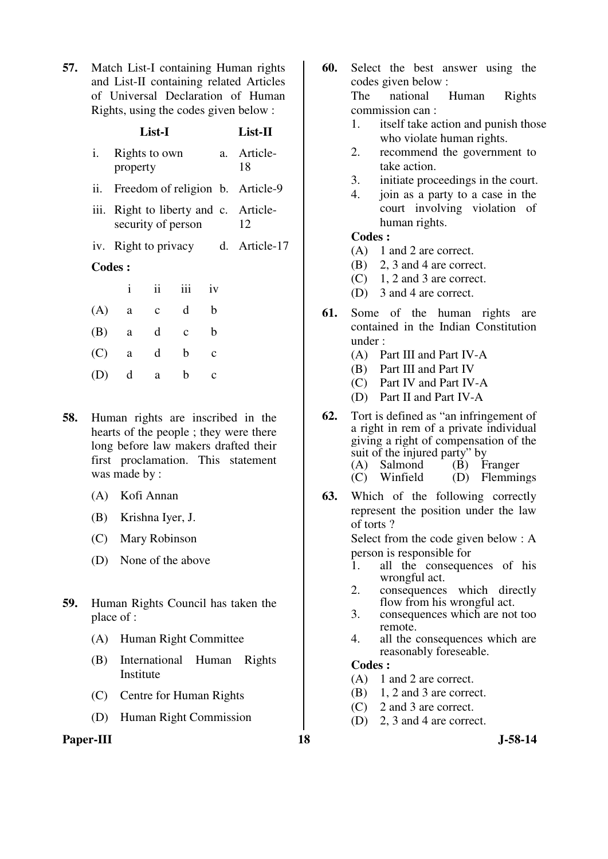**57.** Match List-I containing Human rights and List-II containing related Articles of Universal Declaration of Human Rights, using the codes given below :

|      |                           | List-I                                 |              |              | List-II                            |
|------|---------------------------|----------------------------------------|--------------|--------------|------------------------------------|
| i.   | Rights to own<br>property | a. Article-<br>18                      |              |              |                                    |
| ii.  |                           | Freedom of religion b. Article-9       |              |              |                                    |
| iii. | security of person        | Right to liberty and c. Article-<br>12 |              |              |                                    |
|      |                           |                                        |              |              | iv. Right to privacy d. Article-17 |
|      | <b>Codes:</b>             |                                        |              |              |                                    |
|      | $\mathbf{i}$              | ii                                     | iii          | iv           |                                    |
| (A)  | a                         | $\mathbf c$                            | d            | b            |                                    |
| (B)  | a                         | d                                      | $\mathbf{C}$ | b            |                                    |
| (C)  | a                         | d                                      | b            | $\mathbf{C}$ |                                    |
| (D)  | d                         | a                                      | b            | $\mathbf c$  |                                    |

- **58.** Human rights are inscribed in the hearts of the people ; they were there long before law makers drafted their first proclamation. This statement was made by :
	- (A) Kofi Annan
	- (B) Krishna Iyer, J.
	- (C) Mary Robinson
	- (D) None of the above
- **59.** Human Rights Council has taken the place of :
	- (A) Human Right Committee
	- (B) International Human Rights Institute
	- (C) Centre for Human Rights
	- (D) Human Right Commission

## Paper-III 18 J-58-14

- **60.** Select the best answer using the codes given below : The national Human Rights commission can :
	- 1. itself take action and punish those who violate human rights.
	- 2. recommend the government to take action.
	- 3. initiate proceedings in the court.
	- 4. join as a party to a case in the court involving violation of human rights.

#### **Codes :**

- (A) 1 and 2 are correct.
- (B) 2, 3 and 4 are correct.
- (C) 1, 2 and 3 are correct.
- (D) 3 and 4 are correct.
- **61.** Some of the human rights are contained in the Indian Constitution under :
	- (A) Part III and Part IV-A
	- (B) Part III and Part IV
	- (C) Part IV and Part IV-A
	- (D) Part II and Part IV-A
- **62.** Tort is defined as "an infringement of a right in rem of a private individual giving a right of compensation of the suit of the injured party" by<br>  $(A)$  Salmond  $(B)$  F  $(B)$  Franger
	- (C) Winfield (D) Flemmings
- **63.** Which of the following correctly represent the position under the law of torts ?

 Select from the code given below : A person is responsible for

- 1. all the consequences of his wrongful act.
- 2. consequences which directly flow from his wrongful act.
- 3. consequences which are not too remote.
- 4. all the consequences which are reasonably foreseable.

## **Codes :**

- (A) 1 and 2 are correct.
- (B) 1, 2 and 3 are correct.
- (C) 2 and 3 are correct.
- (D) 2, 3 and 4 are correct.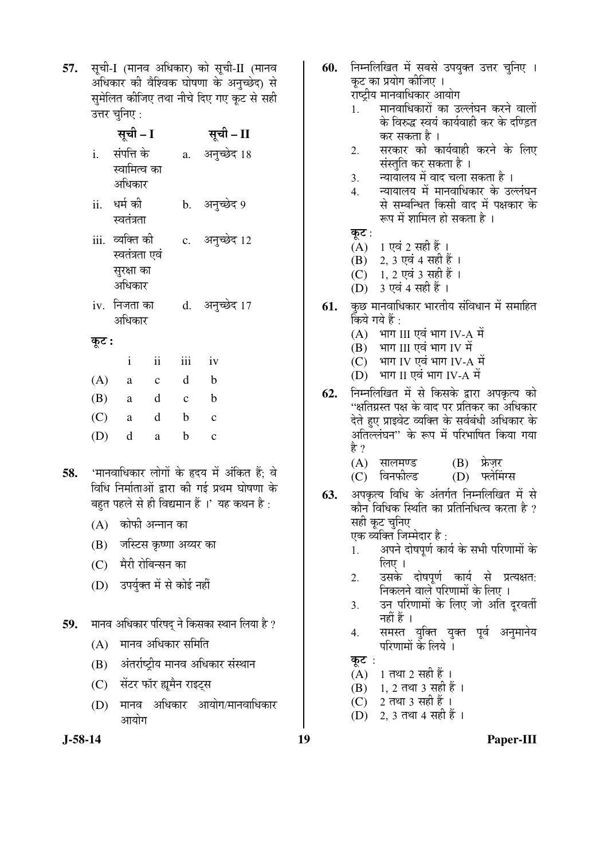57. सूची-I (मानव अधिकार) को सूची-II (मानव अधिकार की वैश्विक घोषणा के अनुच्छेद) से सुमेलित कीजिए तथा नीचे दिए गए कूट से सही उत्तर चनिए $\cdot$ 

|       | सूची – I                                                  |                           |                | सूची – II                          |                                                                                            |     |                                   |
|-------|-----------------------------------------------------------|---------------------------|----------------|------------------------------------|--------------------------------------------------------------------------------------------|-----|-----------------------------------|
| i.    | संपत्ति के<br>स्वामित्व का<br>अधिकार                      |                           |                | a. अनुच्छेद 18                     |                                                                                            |     | 2.<br>3.<br>4.                    |
| ii.   | धर्म की<br>स्वतंत्रता                                     |                           |                | b. अनुच्छेद 9                      |                                                                                            |     |                                   |
|       | iii. व्यक्ति की<br>स्वतंत्रता एवं<br>सुरक्षा का<br>अधिकार |                           |                | c. अनुच्छेद 12                     |                                                                                            |     | कूट :<br>(A)<br>(B)<br>(C)<br>(D) |
|       | iv.  निजता का<br>अधिकार                                   |                           |                | d. अनुच्छेद 17                     |                                                                                            | 61. | कुछ मा<br>किये ग                  |
| कूट : |                                                           |                           |                |                                    |                                                                                            |     | (A)<br>(B)                        |
|       | $\mathbf{i}$                                              | $\mathbf{ii}$             | iii            | iv                                 |                                                                                            |     | (C)                               |
| (A)   | $\rm{a}$                                                  | $\mathbf{C}$              | d              | $\mathbf b$                        |                                                                                            |     | (D)                               |
| (B)   | a                                                         | $\mathbf d$               | $\overline{c}$ | $\mathbf b$                        |                                                                                            | 62. | निम्नलि<br>''क्षतिग्र             |
| (C)   | <sub>a</sub>                                              | d                         | $\mathbf b$    | $\mathbf c$                        |                                                                                            |     | देते हुए                          |
| (D)   | d                                                         | $\mathbf a$               | $\mathbf b$    | $\mathbf c$                        |                                                                                            |     | अतिल्ल<br>है ?                    |
|       |                                                           |                           |                |                                    | 'मानवाधिकार लोगों के हृदय में अंकित हैं; वे                                                |     | (A)<br>(C)                        |
|       |                                                           |                           |                |                                    | विधि निर्माताओं द्वारा की गई प्रथम घोषणा के<br>बहुत पहले से ही विद्यमान हैं ।' यह कथन है : | 63. | अपकृत<br>कौन दि                   |
|       | (A) कोफी अन्नान का                                        |                           |                |                                    |                                                                                            |     | सही कू                            |
|       | (B) जस्टिस कृष्णा अय्यर का                                |                           |                |                                    |                                                                                            |     | एक व्य                            |
|       | (C) मैरी रोबिन्सन का                                      |                           |                |                                    |                                                                                            |     | 1.                                |
| (D)   |                                                           | उपर्युक्त में से कोई नहीं |                |                                    |                                                                                            |     | 2.                                |
|       |                                                           |                           |                |                                    |                                                                                            |     | 3.                                |
|       |                                                           |                           |                |                                    | मानव अधिकार परिषद् ने किसका स्थान लिया है ?                                                |     | 4.                                |
| (A)   |                                                           | मानव अधिकार समिति         |                |                                    |                                                                                            |     |                                   |
| (B)   |                                                           |                           |                | अंतर्राष्ट्रीय मानव अधिकार संस्थान |                                                                                            |     | कूट<br>(A)                        |
| (C)   |                                                           | सेंटर फॉर ह्यूमैन राइट्स  |                |                                    |                                                                                            |     | (B)                               |

- मानव अधिकार आयोग/मानवाधिकार (D) आयोग
- $J-58-14$

58.

59.

60. निम्नलिखित में सबसे उपयुक्त उत्तर चुनिए । कूट का प्रयोग कीजिए । राष्ट्रीय मानवाधिकार आयोग मानवाधिकारों का उल्लंघन करने वालों  $\mathbf{1}$ के विरुद्ध स्वयं कार्यवाही कर के दण्डित कर सकता है । सरकार को कार्यवाही करने के लिए संस्तुति कर सकता है। न्यायालय में वाद चला सकता है । न्यायालय में मानवाधिकार के उल्लंघन से सम्बन्धित किसी वाद में पक्षकार के रूप में शामिल हो सकता है । 1 एवं 2 सही हैं । 2, 3 एवं 4 सही हैं । 1, 2 एवं 3 सही हैं । 3 एवं 4 सही हैं । ानवाधिकार भारतीय संविधान में समाहित ये हैं : भाग III एवं भाग IV-A में भाग III एवं भाग IV में भाग IV एवं भाग IV-A में भाग II एवं भाग IV-A में ाखित में से किसके द्वारा अपकृत्य को ास्त पक्ष के वाद पर प्रतिकर का अधिकार प्राइवेट व्यक्ति के सर्वबंधी अधिकार के नंघन'' के रूप में परिभाषित किया गया सालमण्ड (B) फ्रेजर विनफील्ड (D) फ्लेमिंग्स य विधि के अंतर्गत निम्नलिखित में से .<br>त्रधिक स्थिति का प्रतिनिधित्व करता है ? ट चनिए क्ति जिम्मेदार है : अपने दोषपूर्ण कार्य के सभी परिणामों के लिए । उसके दोषपूर्ण कार्य से प्रत्यक्षत: निकलने वाले परिणामों के लिए । उन परिणामों के लिए जो अति दुरवर्ती नहीं हैं ।

- समस्त युक्ति युक्त पूर्व अनुमानेय परिणामों के लिये ।
- 1 तथा 2 सही हैं ।
- 1, 2 तथा 3 सही हैं । (B)
- 2 तथा 3 सही हैं ।  $(C)$
- (D) 2.3 तथा 4 सही हैं ।

Paper-III

19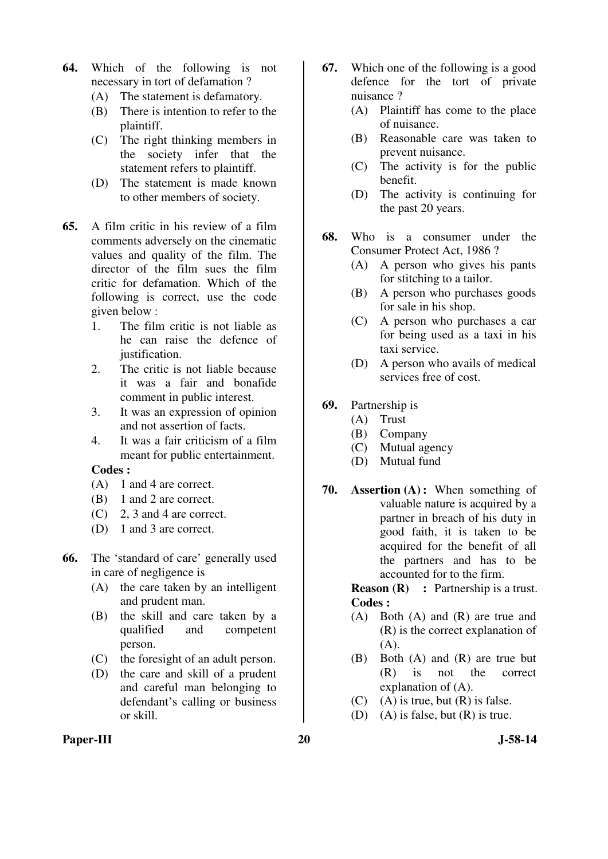- **64.** Which of the following is not necessary in tort of defamation ?
	- (A) The statement is defamatory.
	- (B) There is intention to refer to the plaintiff.
	- (C) The right thinking members in the society infer that the statement refers to plaintiff.
	- (D) The statement is made known to other members of society.
- **65.** A film critic in his review of a film comments adversely on the cinematic values and quality of the film. The director of the film sues the film critic for defamation. Which of the following is correct, use the code given below :
	- 1. The film critic is not liable as he can raise the defence of justification.
	- 2. The critic is not liable because it was a fair and bonafide comment in public interest.
	- 3. It was an expression of opinion and not assertion of facts.
	- 4. It was a fair criticism of a film meant for public entertainment.

- (A) 1 and 4 are correct.
- (B) 1 and 2 are correct.
- (C) 2, 3 and 4 are correct.
- (D) 1 and 3 are correct.
- **66.** The 'standard of care' generally used in care of negligence is
	- (A) the care taken by an intelligent and prudent man.
	- (B) the skill and care taken by a qualified and competent person.
	- (C) the foresight of an adult person.
	- (D) the care and skill of a prudent and careful man belonging to defendant's calling or business or skill.
- **67.** Which one of the following is a good defence for the tort of private nuisance ?
	- (A) Plaintiff has come to the place of nuisance.
	- (B) Reasonable care was taken to prevent nuisance.
	- (C) The activity is for the public benefit.
	- (D) The activity is continuing for the past 20 years.
- **68.** Who is a consumer under the Consumer Protect Act, 1986 ?
	- (A) A person who gives his pants for stitching to a tailor.
	- (B) A person who purchases goods for sale in his shop.
	- (C) A person who purchases a car for being used as a taxi in his taxi service.
	- (D) A person who avails of medical services free of cost.
- **69.** Partnership is
	- (A) Trust
	- (B) Company
	- (C) Mutual agency
	- (D) Mutual fund
- **70. Assertion (A) :** When something of valuable nature is acquired by a partner in breach of his duty in good faith, it is taken to be acquired for the benefit of all the partners and has to be accounted for to the firm.

**Reason (R)** : Partnership is a trust. **Codes :** 

- (A) Both (A) and (R) are true and (R) is the correct explanation of  $(A)$ .
- (B) Both (A) and (R) are true but (R) is not the correct explanation of (A).
- (C) (A) is true, but  $(R)$  is false.
- (D) (A) is false, but (R) is true.
- Paper-III 20 J-58-14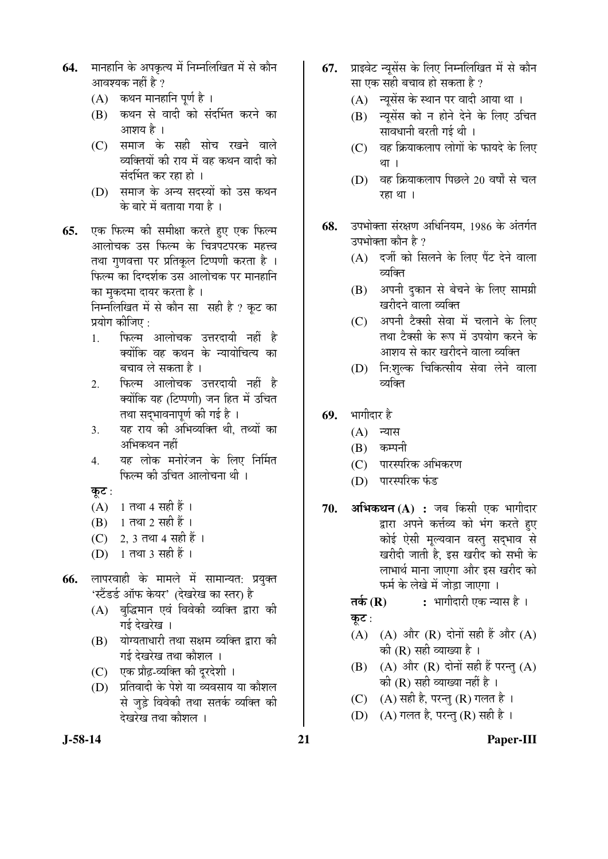- **64.** मानहानि के अपकृत्य में निम्नलिखित में से कौन आवश्यक नहीं है ?
	- $(A)$  कथन मानहानि पूर्ण है ।
	- (B) कथन से वादी को संदर्भित करने का आशय है ।
	- (C) समाज के सही सोच रखने वाले व्यक्तियों की राय में वह कथन वादी को संदर्भित कर रहा हो ।
	- (D) समाज के अन्य सदस्यों को उस कथन के बारे में बताया गया है ।
- **65.** एक फिल्म की समीक्षा करते हुए एक फिल्म आलोचक उस फिल्म के चित्रपटपरक महत्त्व तथा गुणवत्ता पर प्रतिकुल टिप्पणी करता है । फिल्म का दिग्दर्शक उस आलोचक पर मानहानि का मुकदमा दायर करता है। निम्नलिखित में से कौन सा सही है ? कट का

प्रयोग कीजिए  $\cdot$ 

- 1. फिल्म आलोचक उत्तरदायी नहीं है <u>क्योंकि वह कथन के न्यायोचित्य का</u> बचाव ले सकता है ।
- 2. फिल्म आलोचक उत्तरदायी नहीं है क्योंकि यह (टिप्पणी) जन हित में उचित तथा सदभावनापर्ण की गई है ।
- 3. यह राय की अभिव्यक्ति थी, तथ्यों का अभिकथन नहीं
- 4. यह लोक मनोरंजन के लिए निर्मित फिल्म की उचित आलोचना थी ।
- कूट:
- $(A)$  1 तथा 4 सही हैं ।
- (B) 1 तथा 2 सही हैं ।
- (C) 2, 3 तथा 4 सही हैं ।
- (D) 1 तथा 3 सही हैं ।
- **66.** लापरवाही के मामले में सामान्यत: प्रयुक्त 'स्टैंडर्ड ऑफ केयर' (देखरेख का स्तर) है
	- (A) बद्धिमान एवं विवेकी व्यक्ति द्वारा की गई देखरेख ।
	- (B) योग्यताधारी तथा सक्षम व्यक्ति द्वारा की गई देखरेख तथा कौशल**।**
	- (C) एक प्रौढ़-व्यक्ति की दूरदेशी ।
	- $(D)$  प्रतिवादी के पेशे या व्यवसाय या कौशल से जुड़े विवेकी तथा सतर्क व्यक्ति की देखरेख तथा कौशल ।
- 67. प्राइवेट न्यूसेंस के लिए निम्नलिखित में से कौन सा एक सही बचाव हो सकता है ?
	- $(A)$  न्युसेंस के स्थान पर वादी आया था ।
	- (B) न्यूसेंस को न होने देने के लिए उचित सावधानी बरती गई थी ।
	- $(C)$  वह क्रियाकलाप लोगों के फायदे के लिए था ।
	- $(D)$  वह क्रियाकलाप पिछले 20 वर्षों से चल रहा था ।
- **68.** उपभोक्ता संरक्षण अधिनियम, 1986 के अंतर्गत उपभोक्ता कौन है ?
	- $(A)$  दर्जी को सिलने के लिए पैंट देने वाला व्यक्ति
	- (B) अपनी दुकान से बेचने के लिए सामग्री खरीदने वाला व्यक्ति
	- (C) अपनी टैक्सी सेवा में चलाने के लिए तथा टैक्सी के रूप में उपयोग करने के आशय से कार खरीदने वाला व्यक्ति
	- (D) नि:शुल्क चिकित्सीय सेवा लेने वाला व्यक्ति
- **69.** भागीदार है
	- $(A)$  न्यास
	- $(B)$  कम्पनी
	- (C) पारस्परिक अभिकरण
	- (D) पारस्परिक फंड
- 70. **अभिकथन (A) :** जब किसी एक भागीदार द्वारा अपने कर्त्तव्य को भंग करते हुए कोई ऐसी मूल्यवान वस्तु सद्भाव से खरीदी जाती है, इस खरीद को सभी के लाभार्थ माना जाएगा और इस खरीद को ेफर्म के लेखे में जोड़ा जाएगा ।
	- **तर्क (R) :** भागीदारी एक न्यास है । कूट:
	- (A) (A) और (R) दोनों सही हैं और (A) की ( $R$ ) सही व्याख्या है ।
	- $(B)$   $(A)$  और  $(R)$  दोनों सही हैं परन्तु  $(A)$ को  $(R)$  सही व्याख्या नहीं है ।
	- (C)  $(A)$  सही है, परन्तु (R) गलत है।
	- (D)  $(A)$  गलत है, परन्तु (R) सही है ।

**J-58-14 21 Paper-III**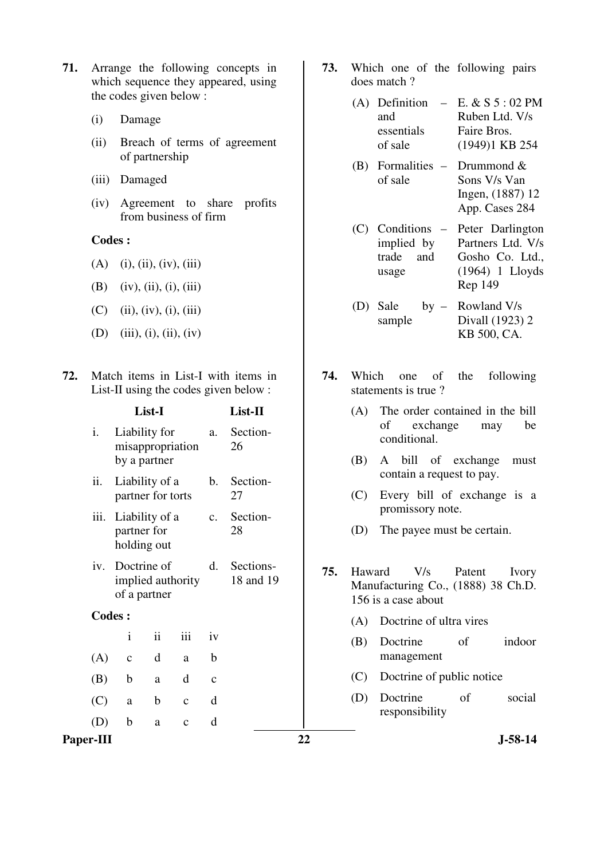- **71.** Arrange the following concepts in which sequence they appeared, using the codes given below :
	- (i) Damage
	- (ii) Breach of terms of agreement of partnership
	- (iii) Damaged
	- (iv) Agreement to share profits from business of firm

- $(A)$  (i), (ii), (iv), (iii)
- (B) (iv), (ii), (i), (iii)
- $(C)$  (ii), (iv), (i), (iii)
- (D) (iii), (i), (ii), (iv)
- **72.** Match items in List-I with items in List-II using the codes given below :

|                  | List-I |                                                  |             | List-II      |                | (A)                    | The order contained in the bill |     |                                                                                               |
|------------------|--------|--------------------------------------------------|-------------|--------------|----------------|------------------------|---------------------------------|-----|-----------------------------------------------------------------------------------------------|
|                  | i.     | Liability for<br>misappropriation                |             |              | a.             | Section-<br>26         |                                 |     | of<br>exchange<br>be<br>may<br>conditional.                                                   |
|                  |        | by a partner                                     |             |              |                |                        |                                 | (B) | A bill of exchange<br>must<br>contain a request to pay.                                       |
|                  | ii.    | Liability of a<br>partner for torts              |             |              | $\mathbf b$ .  | Section-<br>27         |                                 | (C) | Every bill of exchange is a                                                                   |
|                  | iii.   | Liability of a                                   |             |              | $\mathbf{c}$ . | Section-               |                                 |     | promissory note.                                                                              |
|                  |        | partner for<br>holding out                       |             |              |                | 28                     |                                 | (D) | The payee must be certain.                                                                    |
|                  | iv.    | Doctrine of<br>implied authority<br>of a partner |             |              | d.             | Sections-<br>18 and 19 | 75.                             |     | V/s<br>Haward<br>Patent<br>Ivory<br>Manufacturing Co., (1888) 38 Ch.D.<br>156 is a case about |
|                  |        | <b>Codes:</b>                                    |             |              |                |                        |                                 | (A) | Doctrine of ultra vires                                                                       |
|                  |        | $\mathbf{i}$                                     | ii          | iii          | iv             |                        |                                 | (B) | Doctrine<br>of<br>indoor                                                                      |
|                  | (A)    | $\mathbf C$                                      | d           | a            | $\mathbf b$    |                        |                                 |     | management                                                                                    |
|                  | (B)    | $\mathbf b$                                      | a           | d            | $\mathbf{c}$   |                        |                                 | (C) | Doctrine of public notice                                                                     |
|                  | (C)    | a                                                | $\mathbf b$ | $\mathbf{c}$ | d              |                        |                                 | (D) | of<br>Doctrine<br>social<br>responsibility                                                    |
|                  | (D)    | $\mathbf b$                                      | a           | $\mathbf{C}$ | d              |                        |                                 |     |                                                                                               |
| <b>Paper-III</b> |        |                                                  |             |              |                |                        | 22                              |     | $J-58-14$                                                                                     |

- **73.** Which one of the following pairs does match ?
	- (A) Definition  $E. \& S 5 : 02 PM$ and essentials of sale Ruben Ltd. V/s Faire Bros. (1949)1 KB 254
	- (B) Formalities Drummond & of sale Sons V/s Van Ingen, (1887) 12 App. Cases 284
	- $(C)$  Conditions  $$ implied by trade and usage Peter Darlington Partners Ltd. V/s Gosho Co. Ltd., (1964) 1 Lloyds Rep 149
	- $(D)$  Sale sample – Rowland V/s Divall (1923) 2 KB 500, CA.
- **74.** Which one of the following statements is true ?
	- (A) The order contained in the bill of exchange may be conditional.
	- (B) A bill of exchange must contain a request to pay.
	- (C) Every bill of exchange is a promissory note.
	- (D) The payee must be certain.
- **75.** Haward V/s Patent Ivory Manufacturing Co., (1888) 38 Ch.D. 156 is a case about
	- (A) Doctrine of ultra vires
	- (B) Doctrine of indoor management
	- (C) Doctrine of public notice
	- (D) Doctrine of social responsibility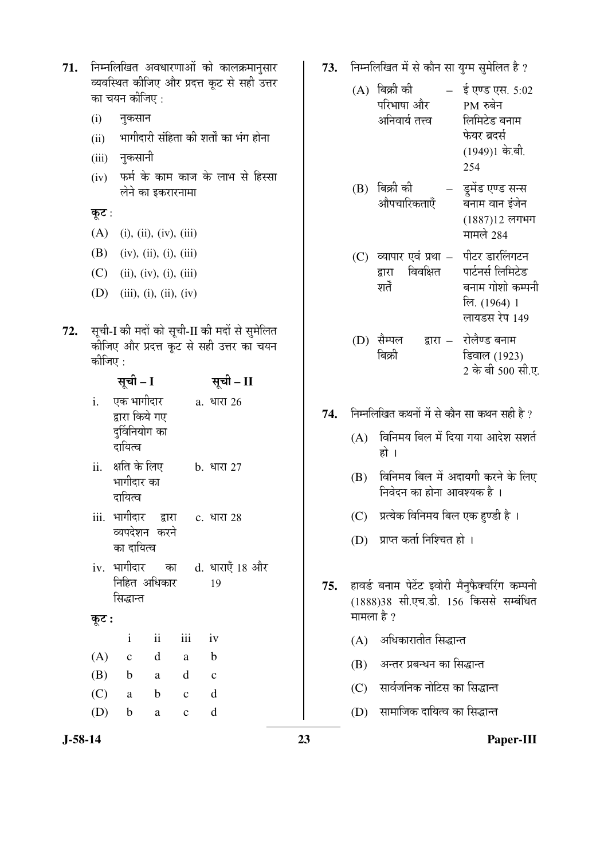71. निम्नलिखित अवधारणाओं को कालक्रमानुसार व्यवस्थित कीजिए और प्रदत्त कुट से सही उत्तर का चयन कीजिए :

- (i) नुकसान
- (ii) भागीदारी संहिता की शर्तों का भंग होना
- (iii) नुकसानी
- (iv) फर्म के काम काज के लाभ से हिस्सा लेने का डकरारनामा

कूट :

- (A) (i), (ii), (iv), (iii)
- (B) (iv), (ii), (i), (iii)
- $(C)$  (ii), (iv), (i), (iii)
- (D) (iii), (i), (ii), (iv)
- 72. सूची-I की मदों को सूची-II की मदों से सुमेलित कीजिए और प्रदत्त कूट से सही उत्तर का चयन कीजिए $\cdot$

|       | सूची - I                                                  |                          |              | सूची – II                            |
|-------|-----------------------------------------------------------|--------------------------|--------------|--------------------------------------|
| i.    | एक भागीदार<br>द्वारा किये गए<br>दुर्विनियोग का<br>दायित्व |                          |              | a. धारा 26                           |
|       | ii.    क्षति के लिए<br>भागीदार का<br>दायित्व              |                          |              | <b>b.</b> धारा 27                    |
|       | iii. भागीदार द्वारा<br>व्यपदेशन करने<br>का दायित्व        |                          |              | c. धारा 28                           |
|       | निहित अधिकार<br>सिद्धान्त                                 |                          |              | iv. भागीदार का d. धाराएँ 18 और<br>19 |
| कूट : |                                                           |                          |              |                                      |
|       | $\mathbf{i}$                                              | $\overline{\mathbf{ii}}$ | <i>iii</i>   | iv                                   |
| (A)   | $\mathbf{C}$                                              | $\mathbf d$              | a a          | $\mathbf{b}$                         |
|       | $(B)$ b a d c                                             |                          |              |                                      |
|       | $(C)$ a                                                   | b c d                    |              |                                      |
|       | $(D)$ b                                                   | a                        | $\mathbf{c}$ | d                                    |

- 73. निम्नलिखित में से कौन सा युग्म सुमेलित है ?
	- $(A)$  बिक्री की परिभाषा और अनिवार्य तत्त्व  $\frac{1}{2}$   $\frac{1}{2}$   $\frac{1}{2}$   $\frac{1}{2}$   $\frac{1}{2}$   $\frac{1}{2}$   $\frac{1}{2}$   $\frac{1}{2}$   $\frac{1}{2}$   $\frac{1}{2}$   $\frac{1}{2}$   $\frac{1}{2}$   $\frac{1}{2}$   $\frac{1}{2}$   $\frac{1}{2}$   $\frac{1}{2}$   $\frac{1}{2}$   $\frac{1}{2}$   $\frac{1}{2}$   $\frac{1}{2}$   $\frac{1}{2}$   $\frac{1}{2$  $PM$  रुबेन लिमिटेड बनाम फेयर ब्रदर्स  $(1949)1$  के.बी. 254
	- $(B)$  बिक्री की ओपचारिकताएँ डूमेंड एण्ड सन्स ँ<br>बनाम वान इंजेन  $(1887)12$  लगभग

मामले 284

- $(C)$  व्यापार एवं प्रथा द्वारा विवक्षित श्नर्ते पीटर डारलिंगटन णर्टनर्स लिमिटेड बनाम गोशो कम्पनी लि. (1964) 1 लायडस रेप 149
- (D) सैम्पल बिक्री द्वारा – रोलैण्ड बनाम डिवाल (1923) 2 के बी 500 सी.ए.
- 74. Fiम्नलिखित कथनों में से कौन सा कथन सही है ?
	- $(A)$  विनिमय बिल में दिया गया आदेश सशर्त हो ।
	- $(B)$  विनिमय बिल में अदायगी करने के लिए <u>निवेदन का होना आवश्यक है</u>।
	- $(C)$  प्रत्येक विनिमय बिल एक हण्डी है।
	- (D) प्राप्त कर्ता निश्चित हो ।
- 75. हावर्ड बनाम पेटेंट इवोरी मैनुफैक्चरिंग कम्पनी (1888)38 सी.एच.डी. 156 किससे सम्बंधित मामला है ?
	- (A) अधिकारातीत सिद्धान्त
	- $(B)$  अन्तर प्रबन्धन का सिद्धान्त
	- (C) सार्वजनिक नोटिस का सिद्धान्त
	- (D) सामाजिक दायित्व का सिद्धान्त

**J-58-14 23 Paper-III**